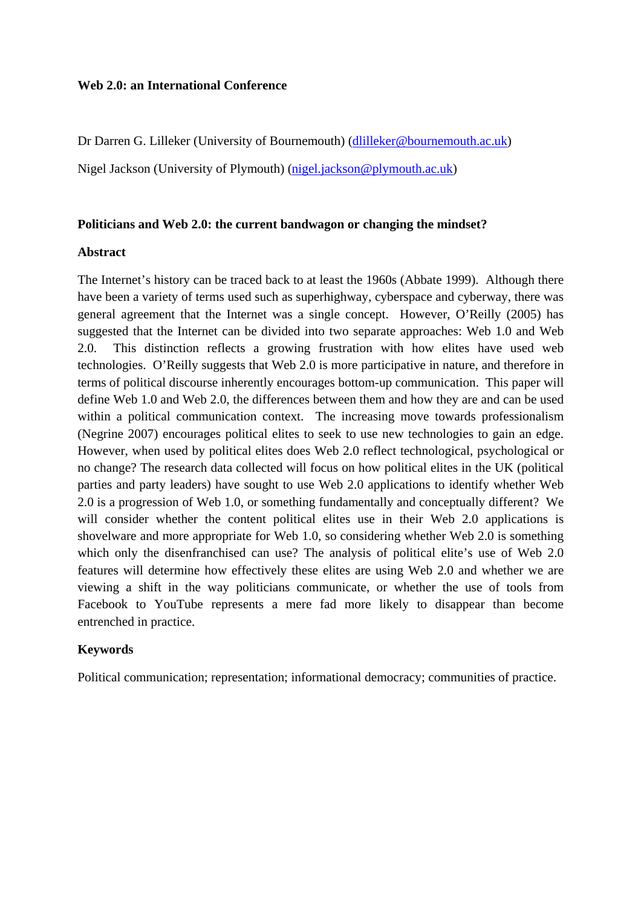### **Web 2.0: an International Conference**

Dr Darren G. Lilleker (University of Bournemouth) [\(dlilleker@bournemouth.ac.uk\)](mailto:dlilleker@bournemouth.ac.uk)

Nigel Jackson (University of Plymouth) [\(nigel.jackson@plymouth.ac.uk](mailto:nigel.jackson@plymouth.ac.uk))

### **Politicians and Web 2.0: the current bandwagon or changing the mindset?**

### **Abstract**

The Internet's history can be traced back to at least the 1960s (Abbate 1999). Although there have been a variety of terms used such as superhighway, cyberspace and cyberway, there was general agreement that the Internet was a single concept. However, O'Reilly (2005) has suggested that the Internet can be divided into two separate approaches: Web 1.0 and Web 2.0. This distinction reflects a growing frustration with how elites have used web technologies. O'Reilly suggests that Web 2.0 is more participative in nature, and therefore in terms of political discourse inherently encourages bottom-up communication. This paper will define Web 1.0 and Web 2.0, the differences between them and how they are and can be used within a political communication context. The increasing move towards professionalism (Negrine 2007) encourages political elites to seek to use new technologies to gain an edge. However, when used by political elites does Web 2.0 reflect technological, psychological or no change? The research data collected will focus on how political elites in the UK (political parties and party leaders) have sought to use Web 2.0 applications to identify whether Web 2.0 is a progression of Web 1.0, or something fundamentally and conceptually different? We will consider whether the content political elites use in their Web 2.0 applications is shovelware and more appropriate for Web 1.0, so considering whether Web 2.0 is something which only the disenfranchised can use? The analysis of political elite's use of Web 2.0 features will determine how effectively these elites are using Web 2.0 and whether we are viewing a shift in the way politicians communicate, or whether the use of tools from Facebook to YouTube represents a mere fad more likely to disappear than become entrenched in practice.

## **Keywords**

Political communication; representation; informational democracy; communities of practice.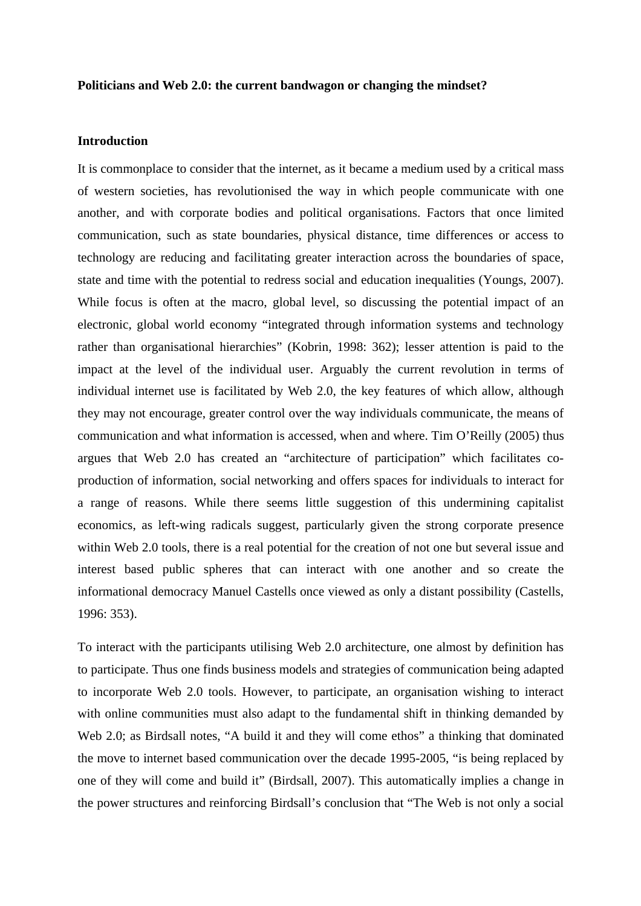#### **Politicians and Web 2.0: the current bandwagon or changing the mindset?**

#### **Introduction**

It is commonplace to consider that the internet, as it became a medium used by a critical mass of western societies, has revolutionised the way in which people communicate with one another, and with corporate bodies and political organisations. Factors that once limited communication, such as state boundaries, physical distance, time differences or access to technology are reducing and facilitating greater interaction across the boundaries of space, state and time with the potential to redress social and education inequalities (Youngs, 2007). While focus is often at the macro, global level, so discussing the potential impact of an electronic, global world economy "integrated through information systems and technology rather than organisational hierarchies" (Kobrin, 1998: 362); lesser attention is paid to the impact at the level of the individual user. Arguably the current revolution in terms of individual internet use is facilitated by Web 2.0, the key features of which allow, although they may not encourage, greater control over the way individuals communicate, the means of communication and what information is accessed, when and where. Tim O'Reilly (2005) thus argues that Web 2.0 has created an "architecture of participation" which facilitates coproduction of information, social networking and offers spaces for individuals to interact for a range of reasons. While there seems little suggestion of this undermining capitalist economics, as left-wing radicals suggest, particularly given the strong corporate presence within Web 2.0 tools, there is a real potential for the creation of not one but several issue and interest based public spheres that can interact with one another and so create the informational democracy Manuel Castells once viewed as only a distant possibility (Castells, 1996: 353).

To interact with the participants utilising Web 2.0 architecture, one almost by definition has to participate. Thus one finds business models and strategies of communication being adapted to incorporate Web 2.0 tools. However, to participate, an organisation wishing to interact with online communities must also adapt to the fundamental shift in thinking demanded by Web 2.0; as Birdsall notes, "A build it and they will come ethos" a thinking that dominated the move to internet based communication over the decade 1995-2005, "is being replaced by one of they will come and build it" (Birdsall, 2007). This automatically implies a change in the power structures and reinforcing Birdsall's conclusion that "The Web is not only a social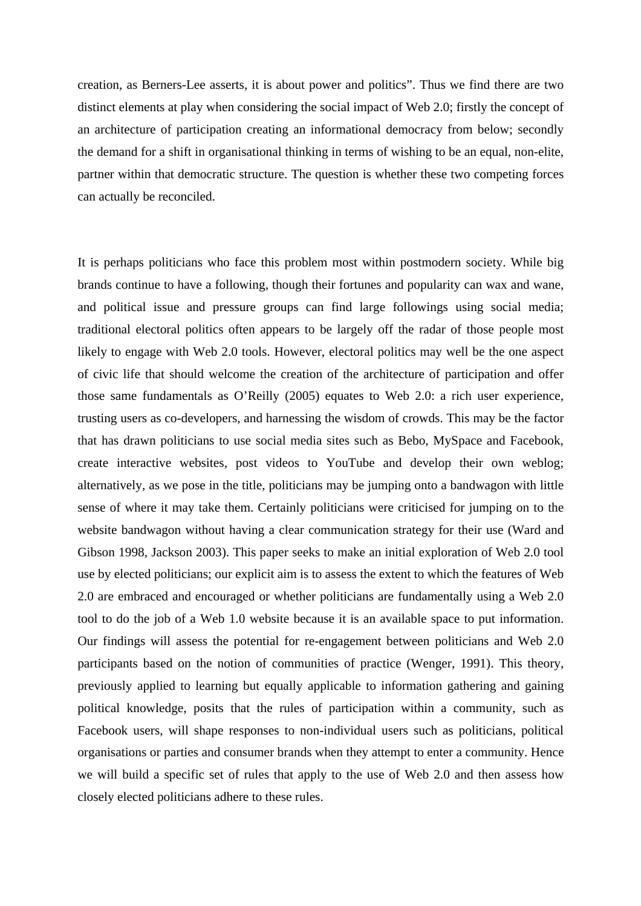creation, as Berners-Lee asserts, it is about power and politics". Thus we find there are two distinct elements at play when considering the social impact of Web 2.0; firstly the concept of an architecture of participation creating an informational democracy from below; secondly the demand for a shift in organisational thinking in terms of wishing to be an equal, non-elite, partner within that democratic structure. The question is whether these two competing forces can actually be reconciled.

It is perhaps politicians who face this problem most within postmodern society. While big brands continue to have a following, though their fortunes and popularity can wax and wane, and political issue and pressure groups can find large followings using social media; traditional electoral politics often appears to be largely off the radar of those people most likely to engage with Web 2.0 tools. However, electoral politics may well be the one aspect of civic life that should welcome the creation of the architecture of participation and offer those same fundamentals as O'Reilly (2005) equates to Web 2.0: a rich user experience, trusting users as co-developers, and harnessing the wisdom of crowds. This may be the factor that has drawn politicians to use social media sites such as Bebo, MySpace and Facebook, create interactive websites, post videos to YouTube and develop their own weblog; alternatively, as we pose in the title, politicians may be jumping onto a bandwagon with little sense of where it may take them. Certainly politicians were criticised for jumping on to the website bandwagon without having a clear communication strategy for their use (Ward and Gibson 1998, Jackson 2003). This paper seeks to make an initial exploration of Web 2.0 tool use by elected politicians; our explicit aim is to assess the extent to which the features of Web 2.0 are embraced and encouraged or whether politicians are fundamentally using a Web 2.0 tool to do the job of a Web 1.0 website because it is an available space to put information. Our findings will assess the potential for re-engagement between politicians and Web 2.0 participants based on the notion of communities of practice (Wenger, 1991). This theory, previously applied to learning but equally applicable to information gathering and gaining political knowledge, posits that the rules of participation within a community, such as Facebook users, will shape responses to non-individual users such as politicians, political organisations or parties and consumer brands when they attempt to enter a community. Hence we will build a specific set of rules that apply to the use of Web 2.0 and then assess how closely elected politicians adhere to these rules.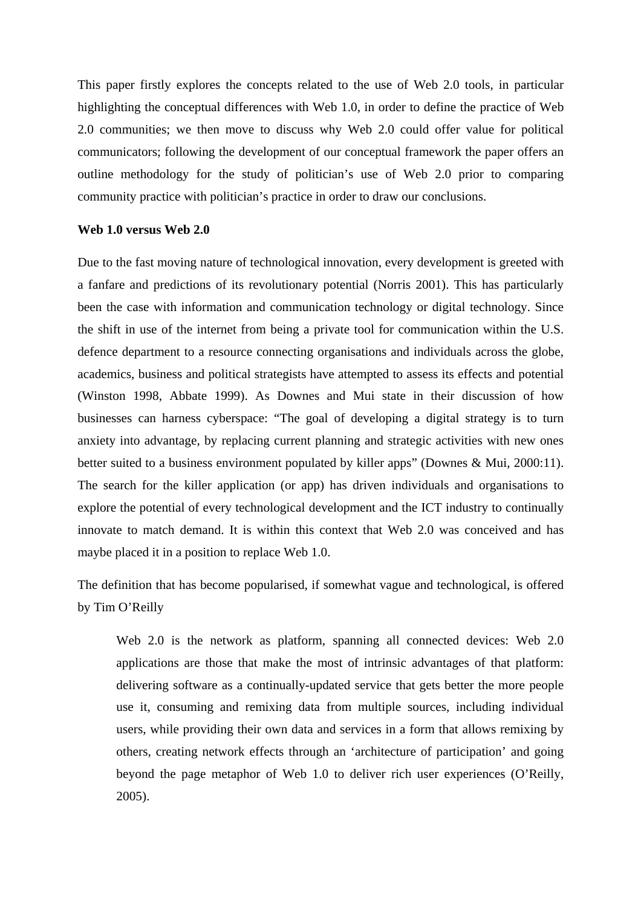This paper firstly explores the concepts related to the use of Web 2.0 tools, in particular highlighting the conceptual differences with Web 1.0, in order to define the practice of Web 2.0 communities; we then move to discuss why Web 2.0 could offer value for political communicators; following the development of our conceptual framework the paper offers an outline methodology for the study of politician's use of Web 2.0 prior to comparing community practice with politician's practice in order to draw our conclusions.

### **Web 1.0 versus Web 2.0**

Due to the fast moving nature of technological innovation, every development is greeted with a fanfare and predictions of its revolutionary potential (Norris 2001). This has particularly been the case with information and communication technology or digital technology. Since the shift in use of the internet from being a private tool for communication within the U.S. defence department to a resource connecting organisations and individuals across the globe, academics, business and political strategists have attempted to assess its effects and potential (Winston 1998, Abbate 1999). As Downes and Mui state in their discussion of how businesses can harness cyberspace: "The goal of developing a digital strategy is to turn anxiety into advantage, by replacing current planning and strategic activities with new ones better suited to a business environment populated by killer apps" (Downes & Mui, 2000:11). The search for the killer application (or app) has driven individuals and organisations to explore the potential of every technological development and the ICT industry to continually innovate to match demand. It is within this context that Web 2.0 was conceived and has maybe placed it in a position to replace Web 1.0.

The definition that has become popularised, if somewhat vague and technological, is offered by Tim O'Reilly

Web 2.0 is the network as platform, spanning all connected devices: Web 2.0 applications are those that make the most of intrinsic advantages of that platform: delivering software as a continually-updated service that gets better the more people use it, consuming and remixing data from multiple sources, including individual users, while providing their own data and services in a form that allows remixing by others, creating network effects through an 'architecture of participation' and going beyond the page metaphor of Web 1.0 to deliver rich user experiences (O'Reilly, 2005).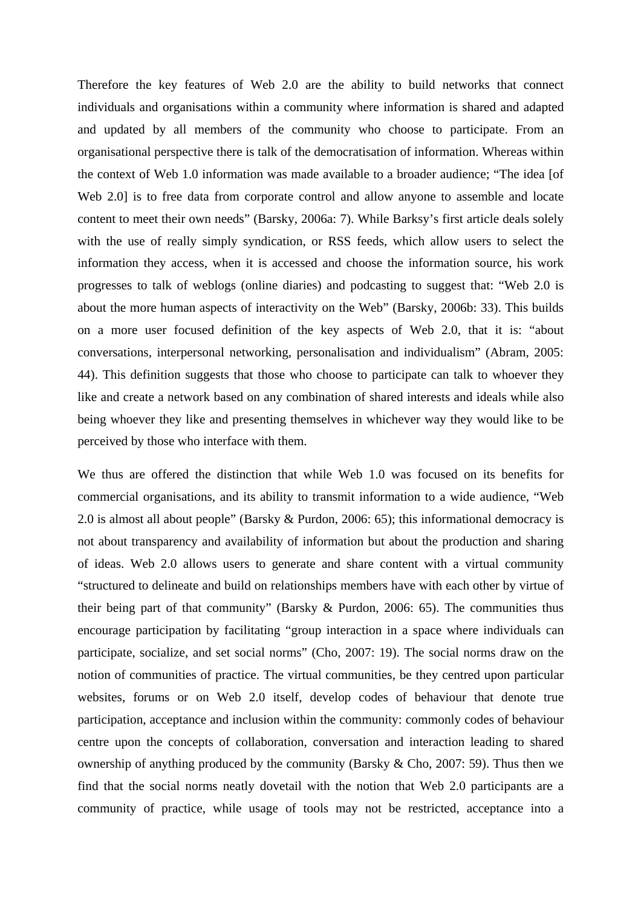Therefore the key features of Web 2.0 are the ability to build networks that connect individuals and organisations within a community where information is shared and adapted and updated by all members of the community who choose to participate. From an organisational perspective there is talk of the democratisation of information. Whereas within the context of Web 1.0 information was made available to a broader audience; "The idea [of Web 2.0] is to free data from corporate control and allow anyone to assemble and locate content to meet their own needs" (Barsky, 2006a: 7). While Barksy's first article deals solely with the use of really simply syndication, or RSS feeds, which allow users to select the information they access, when it is accessed and choose the information source, his work progresses to talk of weblogs (online diaries) and podcasting to suggest that: "Web 2.0 is about the more human aspects of interactivity on the Web" (Barsky, 2006b: 33). This builds on a more user focused definition of the key aspects of Web 2.0, that it is: "about conversations, interpersonal networking, personalisation and individualism" (Abram, 2005: 44). This definition suggests that those who choose to participate can talk to whoever they like and create a network based on any combination of shared interests and ideals while also being whoever they like and presenting themselves in whichever way they would like to be perceived by those who interface with them.

We thus are offered the distinction that while Web 1.0 was focused on its benefits for commercial organisations, and its ability to transmit information to a wide audience, "Web 2.0 is almost all about people" (Barsky & Purdon, 2006: 65); this informational democracy is not about transparency and availability of information but about the production and sharing of ideas. Web 2.0 allows users to generate and share content with a virtual community "structured to delineate and build on relationships members have with each other by virtue of their being part of that community" (Barsky & Purdon, 2006: 65). The communities thus encourage participation by facilitating "group interaction in a space where individuals can participate, socialize, and set social norms" (Cho, 2007: 19). The social norms draw on the notion of communities of practice. The virtual communities, be they centred upon particular websites, forums or on Web 2.0 itself, develop codes of behaviour that denote true participation, acceptance and inclusion within the community: commonly codes of behaviour centre upon the concepts of collaboration, conversation and interaction leading to shared ownership of anything produced by the community (Barsky  $\&$  Cho, 2007: 59). Thus then we find that the social norms neatly dovetail with the notion that Web 2.0 participants are a community of practice, while usage of tools may not be restricted, acceptance into a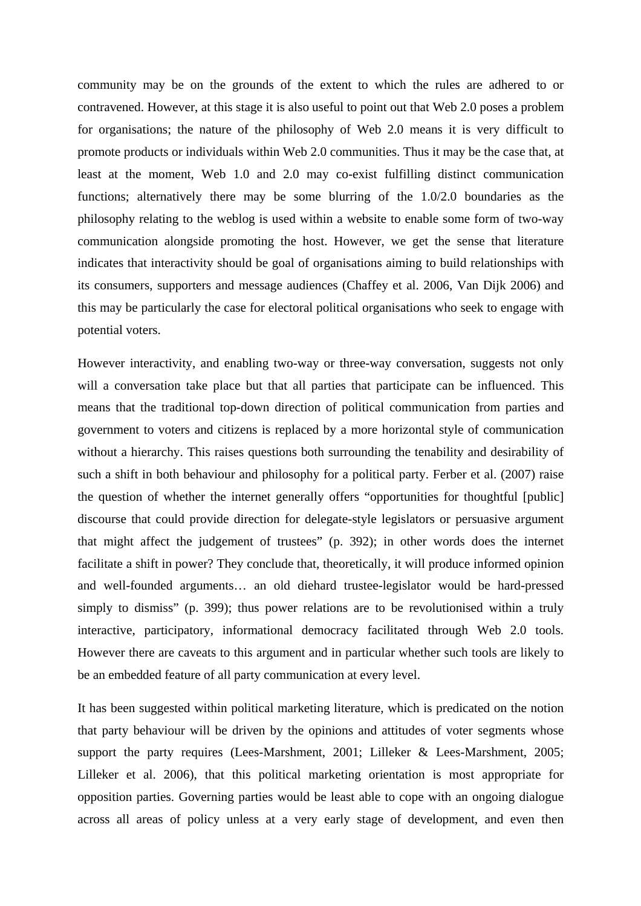community may be on the grounds of the extent to which the rules are adhered to or contravened. However, at this stage it is also useful to point out that Web 2.0 poses a problem for organisations; the nature of the philosophy of Web 2.0 means it is very difficult to promote products or individuals within Web 2.0 communities. Thus it may be the case that, at least at the moment, Web 1.0 and 2.0 may co-exist fulfilling distinct communication functions; alternatively there may be some blurring of the 1.0/2.0 boundaries as the philosophy relating to the weblog is used within a website to enable some form of two-way communication alongside promoting the host. However, we get the sense that literature indicates that interactivity should be goal of organisations aiming to build relationships with its consumers, supporters and message audiences (Chaffey et al. 2006, Van Dijk 2006) and this may be particularly the case for electoral political organisations who seek to engage with potential voters.

However interactivity, and enabling two-way or three-way conversation, suggests not only will a conversation take place but that all parties that participate can be influenced. This means that the traditional top-down direction of political communication from parties and government to voters and citizens is replaced by a more horizontal style of communication without a hierarchy. This raises questions both surrounding the tenability and desirability of such a shift in both behaviour and philosophy for a political party. Ferber et al. (2007) raise the question of whether the internet generally offers "opportunities for thoughtful [public] discourse that could provide direction for delegate-style legislators or persuasive argument that might affect the judgement of trustees" (p. 392); in other words does the internet facilitate a shift in power? They conclude that, theoretically, it will produce informed opinion and well-founded arguments… an old diehard trustee-legislator would be hard-pressed simply to dismiss" (p. 399); thus power relations are to be revolutionised within a truly interactive, participatory, informational democracy facilitated through Web 2.0 tools. However there are caveats to this argument and in particular whether such tools are likely to be an embedded feature of all party communication at every level.

It has been suggested within political marketing literature, which is predicated on the notion that party behaviour will be driven by the opinions and attitudes of voter segments whose support the party requires (Lees-Marshment, 2001; Lilleker & Lees-Marshment, 2005; Lilleker et al. 2006), that this political marketing orientation is most appropriate for opposition parties. Governing parties would be least able to cope with an ongoing dialogue across all areas of policy unless at a very early stage of development, and even then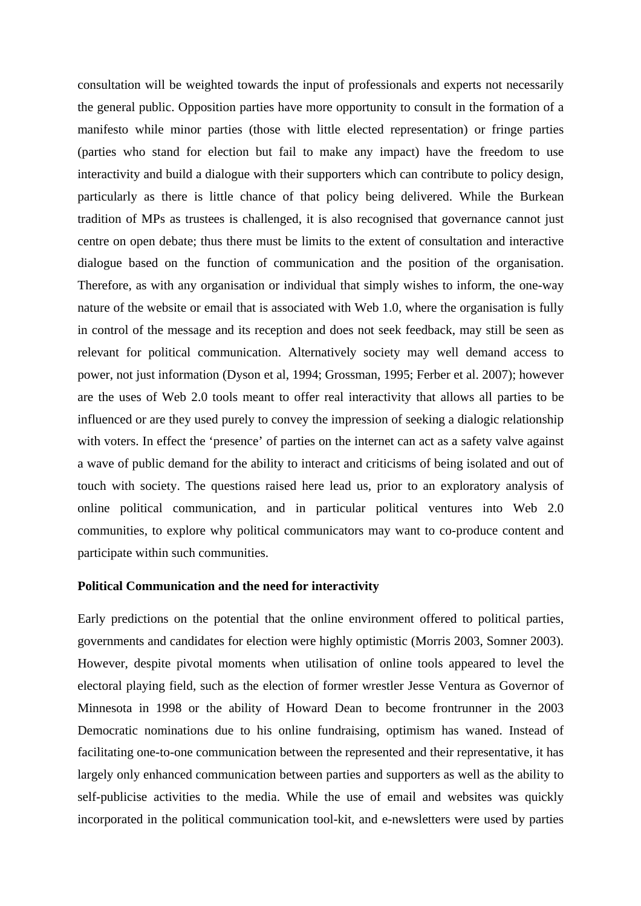consultation will be weighted towards the input of professionals and experts not necessarily the general public. Opposition parties have more opportunity to consult in the formation of a manifesto while minor parties (those with little elected representation) or fringe parties (parties who stand for election but fail to make any impact) have the freedom to use interactivity and build a dialogue with their supporters which can contribute to policy design, particularly as there is little chance of that policy being delivered. While the Burkean tradition of MPs as trustees is challenged, it is also recognised that governance cannot just centre on open debate; thus there must be limits to the extent of consultation and interactive dialogue based on the function of communication and the position of the organisation. Therefore, as with any organisation or individual that simply wishes to inform, the one-way nature of the website or email that is associated with Web 1.0, where the organisation is fully in control of the message and its reception and does not seek feedback, may still be seen as relevant for political communication. Alternatively society may well demand access to power, not just information (Dyson et al, 1994; Grossman, 1995; Ferber et al. 2007); however are the uses of Web 2.0 tools meant to offer real interactivity that allows all parties to be influenced or are they used purely to convey the impression of seeking a dialogic relationship with voters. In effect the 'presence' of parties on the internet can act as a safety valve against a wave of public demand for the ability to interact and criticisms of being isolated and out of touch with society. The questions raised here lead us, prior to an exploratory analysis of online political communication, and in particular political ventures into Web 2.0 communities, to explore why political communicators may want to co-produce content and participate within such communities.

#### **Political Communication and the need for interactivity**

Early predictions on the potential that the online environment offered to political parties, governments and candidates for election were highly optimistic (Morris 2003, Somner 2003). However, despite pivotal moments when utilisation of online tools appeared to level the electoral playing field, such as the election of former wrestler Jesse Ventura as Governor of Minnesota in 1998 or the ability of Howard Dean to become frontrunner in the 2003 Democratic nominations due to his online fundraising, optimism has waned. Instead of facilitating one-to-one communication between the represented and their representative, it has largely only enhanced communication between parties and supporters as well as the ability to self-publicise activities to the media. While the use of email and websites was quickly incorporated in the political communication tool-kit, and e-newsletters were used by parties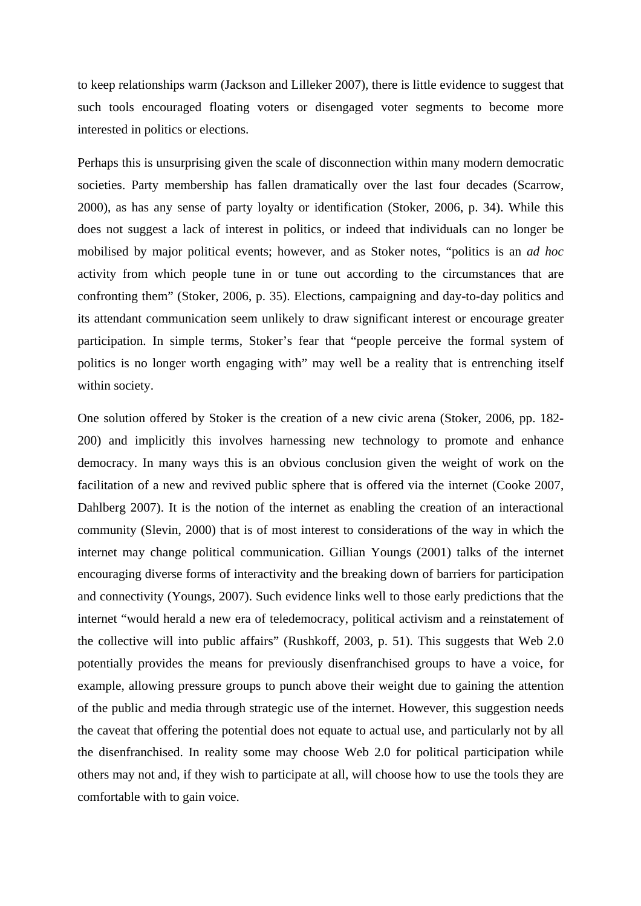to keep relationships warm (Jackson and Lilleker 2007), there is little evidence to suggest that such tools encouraged floating voters or disengaged voter segments to become more interested in politics or elections.

Perhaps this is unsurprising given the scale of disconnection within many modern democratic societies. Party membership has fallen dramatically over the last four decades (Scarrow, 2000), as has any sense of party loyalty or identification (Stoker, 2006, p. 34). While this does not suggest a lack of interest in politics, or indeed that individuals can no longer be mobilised by major political events; however, and as Stoker notes, "politics is an *ad hoc* activity from which people tune in or tune out according to the circumstances that are confronting them" (Stoker, 2006, p. 35). Elections, campaigning and day-to-day politics and its attendant communication seem unlikely to draw significant interest or encourage greater participation. In simple terms, Stoker's fear that "people perceive the formal system of politics is no longer worth engaging with" may well be a reality that is entrenching itself within society.

One solution offered by Stoker is the creation of a new civic arena (Stoker, 2006, pp. 182- 200) and implicitly this involves harnessing new technology to promote and enhance democracy. In many ways this is an obvious conclusion given the weight of work on the facilitation of a new and revived public sphere that is offered via the internet (Cooke 2007, Dahlberg 2007). It is the notion of the internet as enabling the creation of an interactional community (Slevin, 2000) that is of most interest to considerations of the way in which the internet may change political communication. Gillian Youngs (2001) talks of the internet encouraging diverse forms of interactivity and the breaking down of barriers for participation and connectivity (Youngs, 2007). Such evidence links well to those early predictions that the internet "would herald a new era of teledemocracy, political activism and a reinstatement of the collective will into public affairs" (Rushkoff, 2003, p. 51). This suggests that Web 2.0 potentially provides the means for previously disenfranchised groups to have a voice, for example, allowing pressure groups to punch above their weight due to gaining the attention of the public and media through strategic use of the internet. However, this suggestion needs the caveat that offering the potential does not equate to actual use, and particularly not by all the disenfranchised. In reality some may choose Web 2.0 for political participation while others may not and, if they wish to participate at all, will choose how to use the tools they are comfortable with to gain voice.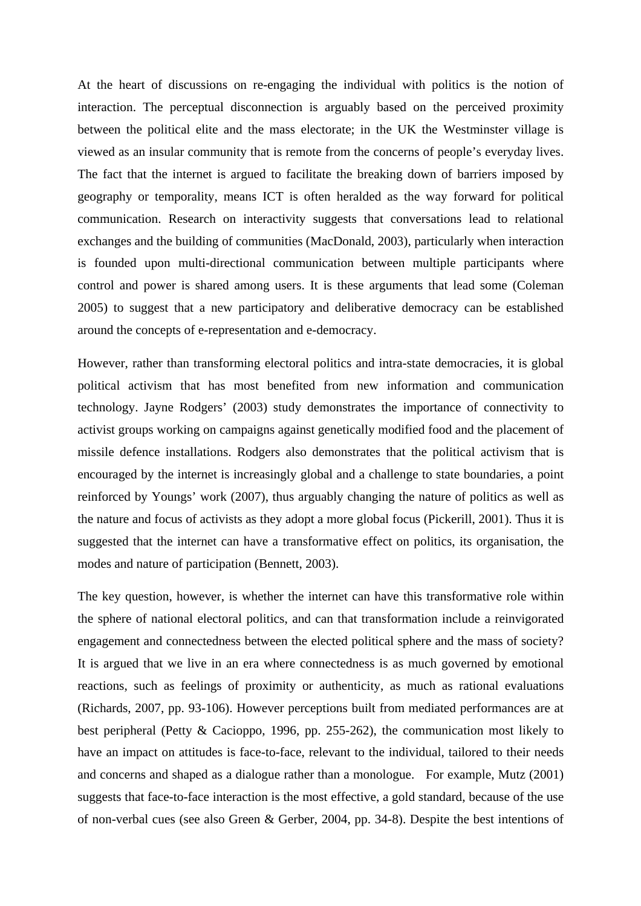At the heart of discussions on re-engaging the individual with politics is the notion of interaction. The perceptual disconnection is arguably based on the perceived proximity between the political elite and the mass electorate; in the UK the Westminster village is viewed as an insular community that is remote from the concerns of people's everyday lives. The fact that the internet is argued to facilitate the breaking down of barriers imposed by geography or temporality, means ICT is often heralded as the way forward for political communication. Research on interactivity suggests that conversations lead to relational exchanges and the building of communities (MacDonald, 2003), particularly when interaction is founded upon multi-directional communication between multiple participants where control and power is shared among users. It is these arguments that lead some (Coleman 2005) to suggest that a new participatory and deliberative democracy can be established around the concepts of e-representation and e-democracy.

However, rather than transforming electoral politics and intra-state democracies, it is global political activism that has most benefited from new information and communication technology. Jayne Rodgers' (2003) study demonstrates the importance of connectivity to activist groups working on campaigns against genetically modified food and the placement of missile defence installations. Rodgers also demonstrates that the political activism that is encouraged by the internet is increasingly global and a challenge to state boundaries, a point reinforced by Youngs' work (2007), thus arguably changing the nature of politics as well as the nature and focus of activists as they adopt a more global focus (Pickerill, 2001). Thus it is suggested that the internet can have a transformative effect on politics, its organisation, the modes and nature of participation (Bennett, 2003).

The key question, however, is whether the internet can have this transformative role within the sphere of national electoral politics, and can that transformation include a reinvigorated engagement and connectedness between the elected political sphere and the mass of society? It is argued that we live in an era where connectedness is as much governed by emotional reactions, such as feelings of proximity or authenticity, as much as rational evaluations (Richards, 2007, pp. 93-106). However perceptions built from mediated performances are at best peripheral (Petty & Cacioppo, 1996, pp. 255-262), the communication most likely to have an impact on attitudes is face-to-face, relevant to the individual, tailored to their needs and concerns and shaped as a dialogue rather than a monologue. For example, Mutz (2001) suggests that face-to-face interaction is the most effective, a gold standard, because of the use of non-verbal cues (see also Green & Gerber, 2004, pp. 34-8). Despite the best intentions of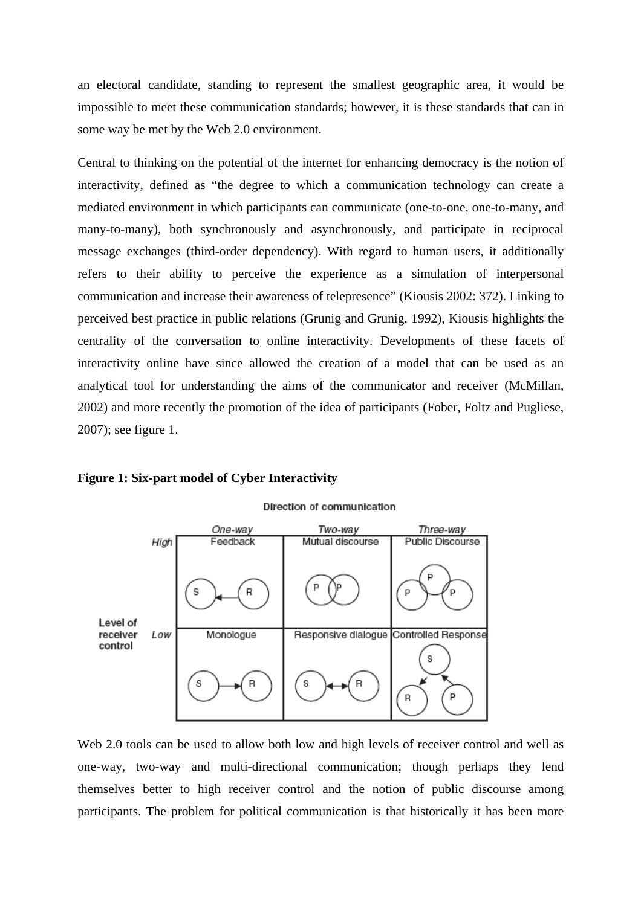an electoral candidate, standing to represent the smallest geographic area, it would be impossible to meet these communication standards; however, it is these standards that can in some way be met by the Web 2.0 environment.

Central to thinking on the potential of the internet for enhancing democracy is the notion of interactivity, defined as "the degree to which a communication technology can create a mediated environment in which participants can communicate (one-to-one, one-to-many, and many-to-many), both synchronously and asynchronously, and participate in reciprocal message exchanges (third-order dependency). With regard to human users, it additionally refers to their ability to perceive the experience as a simulation of interpersonal communication and increase their awareness of telepresence" (Kiousis 2002: 372). Linking to perceived best practice in public relations (Grunig and Grunig, 1992), Kiousis highlights the centrality of the conversation to online interactivity. Developments of these facets of interactivity online have since allowed the creation of a model that can be used as an analytical tool for understanding the aims of the communicator and receiver (McMillan, 2002) and more recently the promotion of the idea of participants (Fober, Foltz and Pugliese, 2007); see figure 1.

### **Figure 1: Six-part model of Cyber Interactivity**



#### Direction of communication

Web 2.0 tools can be used to allow both low and high levels of receiver control and well as one-way, two-way and multi-directional communication; though perhaps they lend themselves better to high receiver control and the notion of public discourse among participants. The problem for political communication is that historically it has been more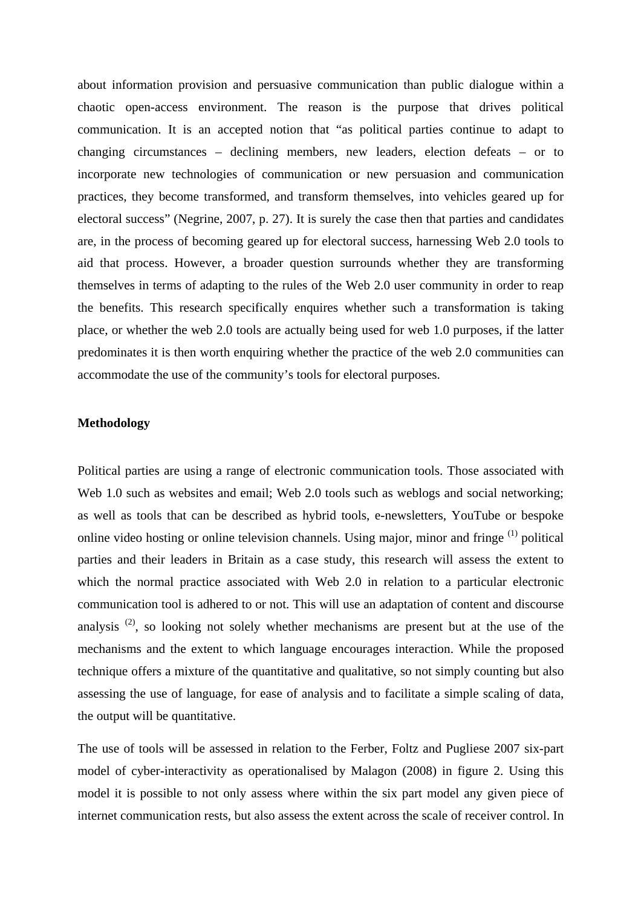about information provision and persuasive communication than public dialogue within a chaotic open-access environment. The reason is the purpose that drives political communication. It is an accepted notion that "as political parties continue to adapt to changing circumstances – declining members, new leaders, election defeats – or to incorporate new technologies of communication or new persuasion and communication practices, they become transformed, and transform themselves, into vehicles geared up for electoral success" (Negrine, 2007, p. 27). It is surely the case then that parties and candidates are, in the process of becoming geared up for electoral success, harnessing Web 2.0 tools to aid that process. However, a broader question surrounds whether they are transforming themselves in terms of adapting to the rules of the Web 2.0 user community in order to reap the benefits. This research specifically enquires whether such a transformation is taking place, or whether the web 2.0 tools are actually being used for web 1.0 purposes, if the latter predominates it is then worth enquiring whether the practice of the web 2.0 communities can accommodate the use of the community's tools for electoral purposes.

### **Methodology**

Political parties are using a range of electronic communication tools. Those associated with Web 1.0 such as websites and email; Web 2.0 tools such as weblogs and social networking; as well as tools that can be described as hybrid tools, e-newsletters, YouTube or bespoke online video hosting or online television channels. Using major, minor and fringe (1) political parties and their leaders in Britain as a case study, this research will assess the extent to which the normal practice associated with Web 2.0 in relation to a particular electronic communication tool is adhered to or not. This will use an adaptation of content and discourse analysis  $(2)$ , so looking not solely whether mechanisms are present but at the use of the mechanisms and the extent to which language encourages interaction. While the proposed technique offers a mixture of the quantitative and qualitative, so not simply counting but also assessing the use of language, for ease of analysis and to facilitate a simple scaling of data, the output will be quantitative.

The use of tools will be assessed in relation to the Ferber, Foltz and Pugliese 2007 six-part model of cyber-interactivity as operationalised by Malagon (2008) in figure 2. Using this model it is possible to not only assess where within the six part model any given piece of internet communication rests, but also assess the extent across the scale of receiver control. In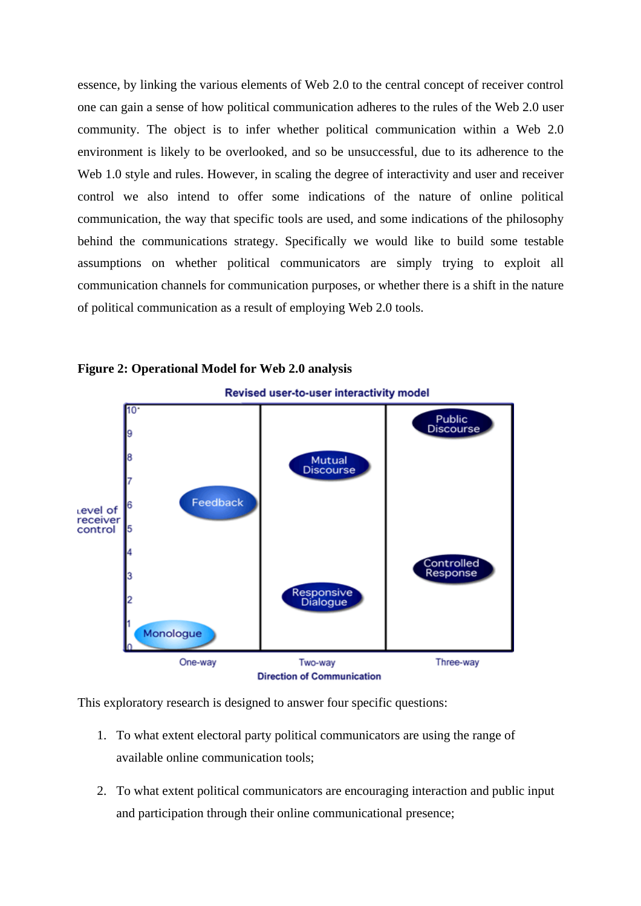essence, by linking the various elements of Web 2.0 to the central concept of receiver control one can gain a sense of how political communication adheres to the rules of the Web 2.0 user community. The object is to infer whether political communication within a Web 2.0 environment is likely to be overlooked, and so be unsuccessful, due to its adherence to the Web 1.0 style and rules. However, in scaling the degree of interactivity and user and receiver control we also intend to offer some indications of the nature of online political communication, the way that specific tools are used, and some indications of the philosophy behind the communications strategy. Specifically we would like to build some testable assumptions on whether political communicators are simply trying to exploit all communication channels for communication purposes, or whether there is a shift in the nature of political communication as a result of employing Web 2.0 tools.



## **Figure 2: Operational Model for Web 2.0 analysis**

This exploratory research is designed to answer four specific questions:

- 1. To what extent electoral party political communicators are using the range of available online communication tools;
- 2. To what extent political communicators are encouraging interaction and public input and participation through their online communicational presence;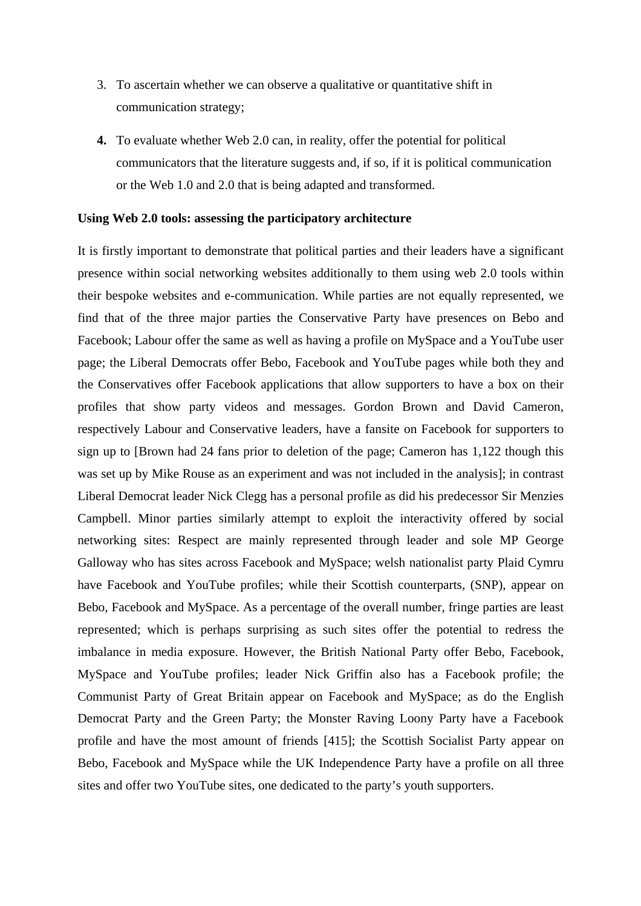- 3. To ascertain whether we can observe a qualitative or quantitative shift in communication strategy;
- **4.** To evaluate whether Web 2.0 can, in reality, offer the potential for political communicators that the literature suggests and, if so, if it is political communication or the Web 1.0 and 2.0 that is being adapted and transformed.

## **Using Web 2.0 tools: assessing the participatory architecture**

It is firstly important to demonstrate that political parties and their leaders have a significant presence within social networking websites additionally to them using web 2.0 tools within their bespoke websites and e-communication. While parties are not equally represented, we find that of the three major parties the Conservative Party have presences on Bebo and Facebook; Labour offer the same as well as having a profile on MySpace and a YouTube user page; the Liberal Democrats offer Bebo, Facebook and YouTube pages while both they and the Conservatives offer Facebook applications that allow supporters to have a box on their profiles that show party videos and messages. Gordon Brown and David Cameron, respectively Labour and Conservative leaders, have a fansite on Facebook for supporters to sign up to [Brown had 24 fans prior to deletion of the page; Cameron has 1,122 though this was set up by Mike Rouse as an experiment and was not included in the analysis]; in contrast Liberal Democrat leader Nick Clegg has a personal profile as did his predecessor Sir Menzies Campbell. Minor parties similarly attempt to exploit the interactivity offered by social networking sites: Respect are mainly represented through leader and sole MP George Galloway who has sites across Facebook and MySpace; welsh nationalist party Plaid Cymru have Facebook and YouTube profiles; while their Scottish counterparts, (SNP), appear on Bebo, Facebook and MySpace. As a percentage of the overall number, fringe parties are least represented; which is perhaps surprising as such sites offer the potential to redress the imbalance in media exposure. However, the British National Party offer Bebo, Facebook, MySpace and YouTube profiles; leader Nick Griffin also has a Facebook profile; the Communist Party of Great Britain appear on Facebook and MySpace; as do the English Democrat Party and the Green Party; the Monster Raving Loony Party have a Facebook profile and have the most amount of friends [415]; the Scottish Socialist Party appear on Bebo, Facebook and MySpace while the UK Independence Party have a profile on all three sites and offer two YouTube sites, one dedicated to the party's youth supporters.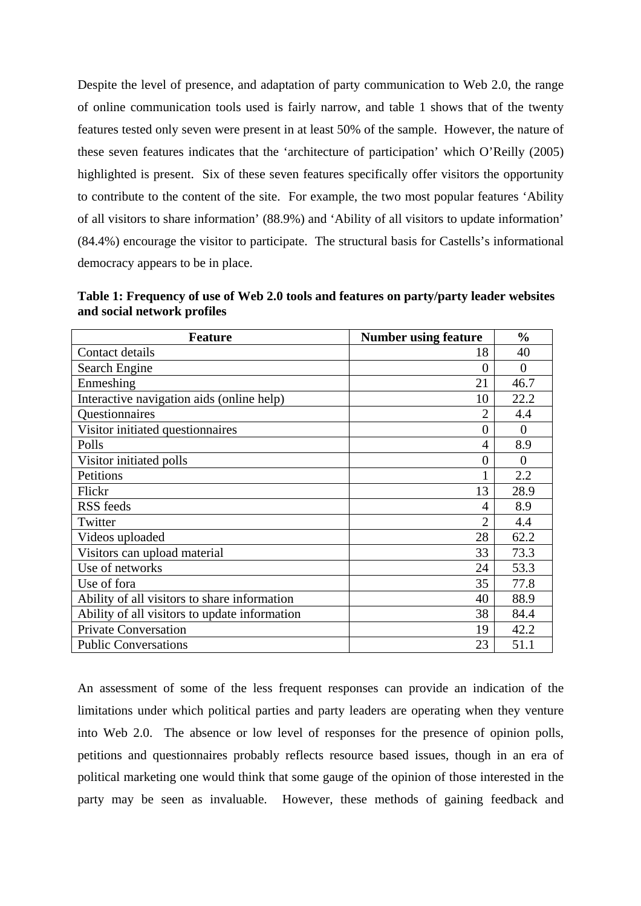Despite the level of presence, and adaptation of party communication to Web 2.0, the range of online communication tools used is fairly narrow, and table 1 shows that of the twenty features tested only seven were present in at least 50% of the sample. However, the nature of these seven features indicates that the 'architecture of participation' which O'Reilly (2005) highlighted is present. Six of these seven features specifically offer visitors the opportunity to contribute to the content of the site. For example, the two most popular features 'Ability of all visitors to share information' (88.9%) and 'Ability of all visitors to update information' (84.4%) encourage the visitor to participate. The structural basis for Castells's informational democracy appears to be in place.

**Table 1: Frequency of use of Web 2.0 tools and features on party/party leader websites and social network profiles** 

| <b>Feature</b>                                | <b>Number using feature</b> | $\frac{0}{0}$ |
|-----------------------------------------------|-----------------------------|---------------|
| Contact details                               | 18                          | 40            |
| Search Engine                                 | $\theta$                    | $\theta$      |
| Enmeshing                                     | 21                          | 46.7          |
| Interactive navigation aids (online help)     | 10                          | 22.2          |
| <b>Questionnaires</b>                         | $\mathfrak{D}$              | 4.4           |
| Visitor initiated questionnaires              | $\theta$                    | $\Omega$      |
| Polls                                         | 4                           | 8.9           |
| Visitor initiated polls                       | $\overline{0}$              | $\theta$      |
| Petitions                                     |                             | 2.2           |
| Flickr                                        | 13                          | 28.9          |
| <b>RSS</b> feeds                              | 4                           | 8.9           |
| Twitter                                       | $\overline{2}$              | 4.4           |
| Videos uploaded                               | 28                          | 62.2          |
| Visitors can upload material                  | 33                          | 73.3          |
| Use of networks                               | 24                          | 53.3          |
| Use of fora                                   | 35                          | 77.8          |
| Ability of all visitors to share information  | 40                          | 88.9          |
| Ability of all visitors to update information | 38                          | 84.4          |
| <b>Private Conversation</b>                   | 19                          | 42.2          |
| <b>Public Conversations</b>                   | 23                          | 51.1          |

An assessment of some of the less frequent responses can provide an indication of the limitations under which political parties and party leaders are operating when they venture into Web 2.0. The absence or low level of responses for the presence of opinion polls, petitions and questionnaires probably reflects resource based issues, though in an era of political marketing one would think that some gauge of the opinion of those interested in the party may be seen as invaluable. However, these methods of gaining feedback and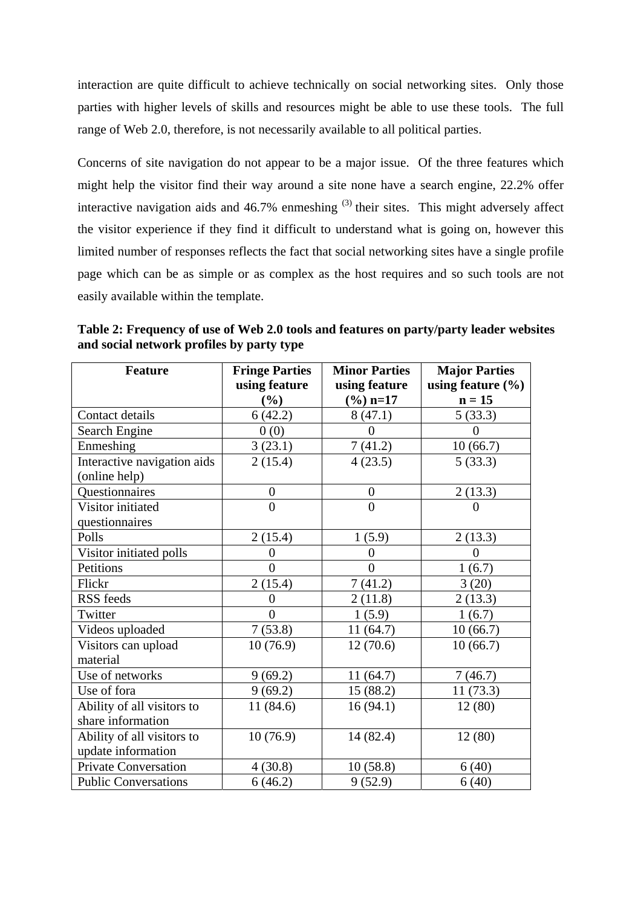interaction are quite difficult to achieve technically on social networking sites. Only those parties with higher levels of skills and resources might be able to use these tools. The full range of Web 2.0, therefore, is not necessarily available to all political parties.

Concerns of site navigation do not appear to be a major issue. Of the three features which might help the visitor find their way around a site none have a search engine, 22.2% offer interactive navigation aids and  $46.7\%$  enmeshing  $^{(3)}$  their sites. This might adversely affect the visitor experience if they find it difficult to understand what is going on, however this limited number of responses reflects the fact that social networking sites have a single profile page which can be as simple or as complex as the host requires and so such tools are not easily available within the template.

**Table 2: Frequency of use of Web 2.0 tools and features on party/party leader websites and social network profiles by party type** 

| <b>Feature</b>              | <b>Fringe Parties</b> | <b>Minor Parties</b><br><b>Major Parties</b> |                   |  |
|-----------------------------|-----------------------|----------------------------------------------|-------------------|--|
|                             | using feature         | using feature                                | using feature (%) |  |
|                             | $(\%)$                | $(\frac{6}{6})$ n=17                         | $n = 15$          |  |
| Contact details             | 6(42.2)               | 8(47.1)                                      | 5(33.3)           |  |
| Search Engine               | 0(0)                  | $\overline{0}$                               | $\boldsymbol{0}$  |  |
| Enmeshing                   | 3(23.1)               | 7(41.2)                                      | 10(66.7)          |  |
| Interactive navigation aids | 2(15.4)               | 4(23.5)                                      | 5(33.3)           |  |
| (online help)               |                       |                                              |                   |  |
| Questionnaires              | $\boldsymbol{0}$      | $\boldsymbol{0}$                             | 2(13.3)           |  |
| Visitor initiated           | $\overline{0}$        | $\overline{0}$                               | 0                 |  |
| questionnaires              |                       |                                              |                   |  |
| Polls                       | 2(15.4)               | 1(5.9)                                       | 2(13.3)           |  |
| Visitor initiated polls     | $\overline{0}$        | $\overline{0}$                               | $\overline{0}$    |  |
| Petitions                   | $\overline{0}$        | $\overline{0}$                               | 1(6.7)            |  |
| Flickr                      | 2(15.4)               | 7(41.2)                                      | 3(20)             |  |
| RSS feeds                   | $\theta$              | 2(11.8)                                      | 2(13.3)           |  |
| Twitter                     | $\overline{0}$        | 1(5.9)                                       | 1(6.7)            |  |
| Videos uploaded             | 7(53.8)               | 11(64.7)                                     | 10(66.7)          |  |
| Visitors can upload         | 10(76.9)              | 12(70.6)                                     | 10(66.7)          |  |
| material                    |                       |                                              |                   |  |
| Use of networks             | 9(69.2)               | 11(64.7)                                     | 7(46.7)           |  |
| Use of fora                 | 9(69.2)               | 15 (88.2)                                    | 11(73.3)          |  |
| Ability of all visitors to  | 11(84.6)              | 16(94.1)                                     | 12(80)            |  |
| share information           |                       |                                              |                   |  |
| Ability of all visitors to  | 10(76.9)              | 14 (82.4)                                    | 12(80)            |  |
| update information          |                       |                                              |                   |  |
| <b>Private Conversation</b> | 4(30.8)               | 10(58.8)                                     | 6(40)             |  |
| <b>Public Conversations</b> | 6(46.2)               | 9(52.9)                                      | 6(40)             |  |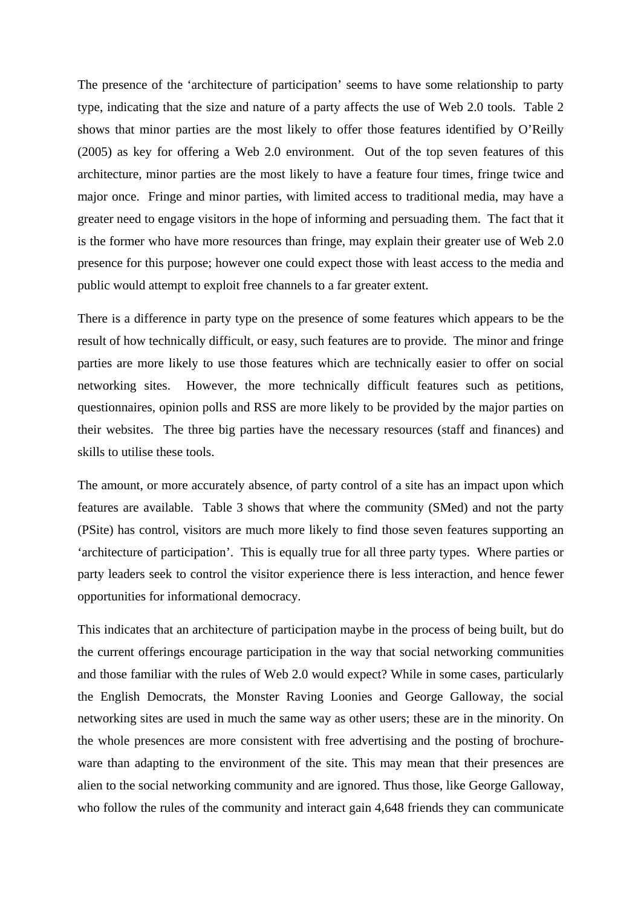The presence of the 'architecture of participation' seems to have some relationship to party type, indicating that the size and nature of a party affects the use of Web 2.0 tools. Table 2 shows that minor parties are the most likely to offer those features identified by O'Reilly (2005) as key for offering a Web 2.0 environment. Out of the top seven features of this architecture, minor parties are the most likely to have a feature four times, fringe twice and major once. Fringe and minor parties, with limited access to traditional media, may have a greater need to engage visitors in the hope of informing and persuading them. The fact that it is the former who have more resources than fringe, may explain their greater use of Web 2.0 presence for this purpose; however one could expect those with least access to the media and public would attempt to exploit free channels to a far greater extent.

There is a difference in party type on the presence of some features which appears to be the result of how technically difficult, or easy, such features are to provide. The minor and fringe parties are more likely to use those features which are technically easier to offer on social networking sites. However, the more technically difficult features such as petitions, questionnaires, opinion polls and RSS are more likely to be provided by the major parties on their websites. The three big parties have the necessary resources (staff and finances) and skills to utilise these tools.

The amount, or more accurately absence, of party control of a site has an impact upon which features are available. Table 3 shows that where the community (SMed) and not the party (PSite) has control, visitors are much more likely to find those seven features supporting an 'architecture of participation'. This is equally true for all three party types. Where parties or party leaders seek to control the visitor experience there is less interaction, and hence fewer opportunities for informational democracy.

This indicates that an architecture of participation maybe in the process of being built, but do the current offerings encourage participation in the way that social networking communities and those familiar with the rules of Web 2.0 would expect? While in some cases, particularly the English Democrats, the Monster Raving Loonies and George Galloway, the social networking sites are used in much the same way as other users; these are in the minority. On the whole presences are more consistent with free advertising and the posting of brochureware than adapting to the environment of the site. This may mean that their presences are alien to the social networking community and are ignored. Thus those, like George Galloway, who follow the rules of the community and interact gain 4,648 friends they can communicate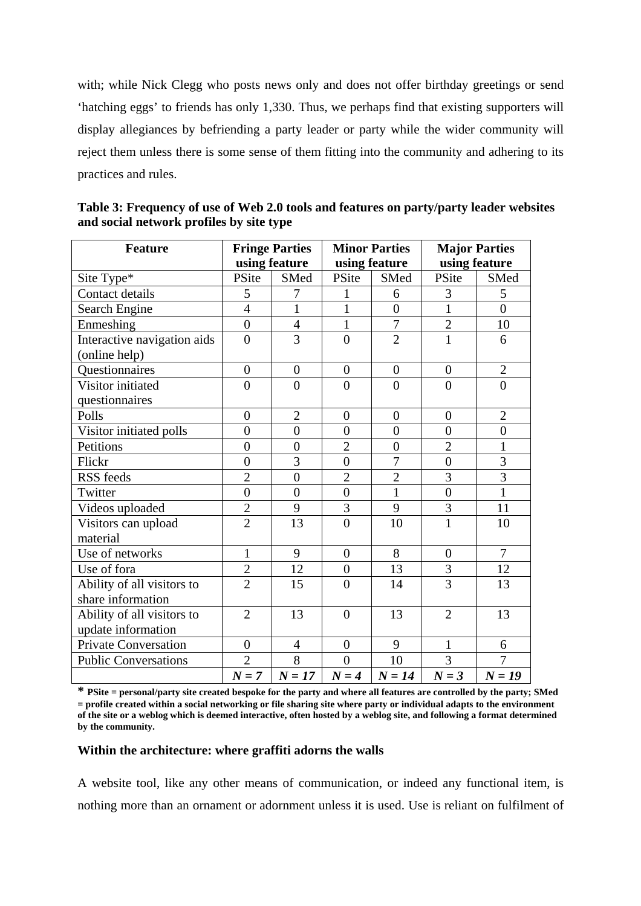with; while Nick Clegg who posts news only and does not offer birthday greetings or send 'hatching eggs' to friends has only 1,330. Thus, we perhaps find that existing supporters will display allegiances by befriending a party leader or party while the wider community will reject them unless there is some sense of them fitting into the community and adhering to its practices and rules.

| <b>Feature</b>              | <b>Fringe Parties</b> |                  | <b>Minor Parties</b> |                  | <b>Major Parties</b> |                |
|-----------------------------|-----------------------|------------------|----------------------|------------------|----------------------|----------------|
|                             | using feature         |                  | using feature        |                  | using feature        |                |
| Site Type*                  | PSite                 | <b>SMed</b>      | PSite                | SMed             | PSite                | <b>SMed</b>    |
| Contact details             | 5                     | 7                | 1                    | 6                | 3                    | 5              |
| Search Engine               | $\overline{4}$        | $\mathbf{1}$     | $\mathbf{1}$         | $\overline{0}$   | $\mathbf{1}$         | $\overline{0}$ |
| Enmeshing                   | $\overline{0}$        | $\overline{4}$   | $\overline{1}$       | $\overline{7}$   | $\overline{2}$       | 10             |
| Interactive navigation aids | $\overline{0}$        | 3                | $\overline{0}$       | $\overline{2}$   | $\mathbf{1}$         | 6              |
| (online help)               |                       |                  |                      |                  |                      |                |
| Questionnaires              | $\overline{0}$        | $\boldsymbol{0}$ | $\boldsymbol{0}$     | $\boldsymbol{0}$ | $\overline{0}$       | $\overline{2}$ |
| Visitor initiated           | $\overline{0}$        | $\overline{0}$   | $\overline{0}$       | $\overline{0}$   | $\overline{0}$       | $\overline{0}$ |
| questionnaires              |                       |                  |                      |                  |                      |                |
| Polls                       | $\overline{0}$        | $\overline{2}$   | $\overline{0}$       | $\overline{0}$   | $\overline{0}$       | $\overline{2}$ |
| Visitor initiated polls     | $\overline{0}$        | $\overline{0}$   | $\overline{0}$       | $\overline{0}$   | $\overline{0}$       | $\overline{0}$ |
| Petitions                   | $\overline{0}$        | $\overline{0}$   | $\overline{2}$       | $\overline{0}$   | $\overline{2}$       | $\mathbf{1}$   |
| Flickr                      | $\overline{0}$        | 3                | $\overline{0}$       | $\overline{7}$   | $\overline{0}$       | $\overline{3}$ |
| <b>RSS</b> feeds            | $\overline{2}$        | $\overline{0}$   | $\overline{2}$       | $\overline{2}$   | $\overline{3}$       | 3              |
| Twitter                     | $\overline{0}$        | $\overline{0}$   | $\overline{0}$       | $\overline{1}$   | $\overline{0}$       | $\overline{1}$ |
| Videos uploaded             | $\overline{2}$        | 9                | $\overline{3}$       | 9                | 3                    | 11             |
| Visitors can upload         | $\overline{2}$        | 13               | $\overline{0}$       | 10               | $\overline{1}$       | 10             |
| material                    |                       |                  |                      |                  |                      |                |
| Use of networks             | $\mathbf{1}$          | 9                | $\overline{0}$       | 8                | $\overline{0}$       | $\overline{7}$ |
| Use of fora                 | $\overline{2}$        | 12               | $\overline{0}$       | 13               | 3                    | 12             |
| Ability of all visitors to  | $\overline{2}$        | 15               | $\overline{0}$       | 14               | $\overline{3}$       | 13             |
| share information           |                       |                  |                      |                  |                      |                |
| Ability of all visitors to  | $\overline{2}$        | 13               | $\overline{0}$       | 13               | $\overline{2}$       | 13             |
| update information          |                       |                  |                      |                  |                      |                |
| <b>Private Conversation</b> | $\overline{0}$        | $\overline{4}$   | $\overline{0}$       | 9                | $\mathbf{1}$         | 6              |
| <b>Public Conversations</b> | $\overline{2}$        | 8                | $\overline{0}$       | 10               | 3                    | $\overline{7}$ |
|                             | $N = 7$               | $N = 17$         | $N = 4$              | $N = 14$         | $N = 3$              | $N = 19$       |

**Table 3: Frequency of use of Web 2.0 tools and features on party/party leader websites and social network profiles by site type** 

**\* PSite = personal/party site created bespoke for the party and where all features are controlled by the party; SMed = profile created within a social networking or file sharing site where party or individual adapts to the environment of the site or a weblog which is deemed interactive, often hosted by a weblog site, and following a format determined by the community.** 

#### **Within the architecture: where graffiti adorns the walls**

A website tool, like any other means of communication, or indeed any functional item, is nothing more than an ornament or adornment unless it is used. Use is reliant on fulfilment of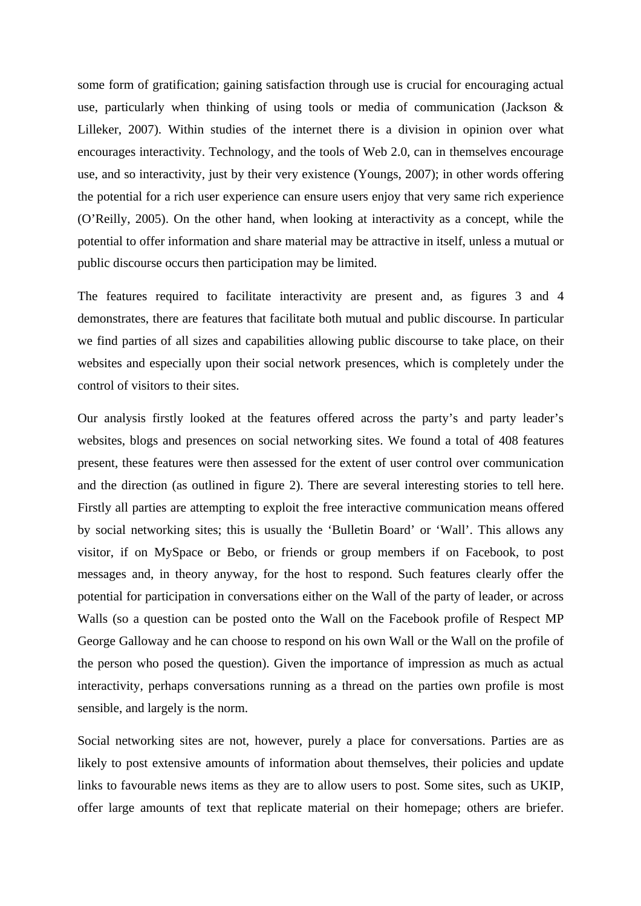some form of gratification; gaining satisfaction through use is crucial for encouraging actual use, particularly when thinking of using tools or media of communication (Jackson & Lilleker, 2007). Within studies of the internet there is a division in opinion over what encourages interactivity. Technology, and the tools of Web 2.0, can in themselves encourage use, and so interactivity, just by their very existence (Youngs, 2007); in other words offering the potential for a rich user experience can ensure users enjoy that very same rich experience (O'Reilly, 2005). On the other hand, when looking at interactivity as a concept, while the potential to offer information and share material may be attractive in itself, unless a mutual or public discourse occurs then participation may be limited.

The features required to facilitate interactivity are present and, as figures 3 and 4 demonstrates, there are features that facilitate both mutual and public discourse. In particular we find parties of all sizes and capabilities allowing public discourse to take place, on their websites and especially upon their social network presences, which is completely under the control of visitors to their sites.

Our analysis firstly looked at the features offered across the party's and party leader's websites, blogs and presences on social networking sites. We found a total of 408 features present, these features were then assessed for the extent of user control over communication and the direction (as outlined in figure 2). There are several interesting stories to tell here. Firstly all parties are attempting to exploit the free interactive communication means offered by social networking sites; this is usually the 'Bulletin Board' or 'Wall'. This allows any visitor, if on MySpace or Bebo, or friends or group members if on Facebook, to post messages and, in theory anyway, for the host to respond. Such features clearly offer the potential for participation in conversations either on the Wall of the party of leader, or across Walls (so a question can be posted onto the Wall on the Facebook profile of Respect MP George Galloway and he can choose to respond on his own Wall or the Wall on the profile of the person who posed the question). Given the importance of impression as much as actual interactivity, perhaps conversations running as a thread on the parties own profile is most sensible, and largely is the norm.

Social networking sites are not, however, purely a place for conversations. Parties are as likely to post extensive amounts of information about themselves, their policies and update links to favourable news items as they are to allow users to post. Some sites, such as UKIP, offer large amounts of text that replicate material on their homepage; others are briefer.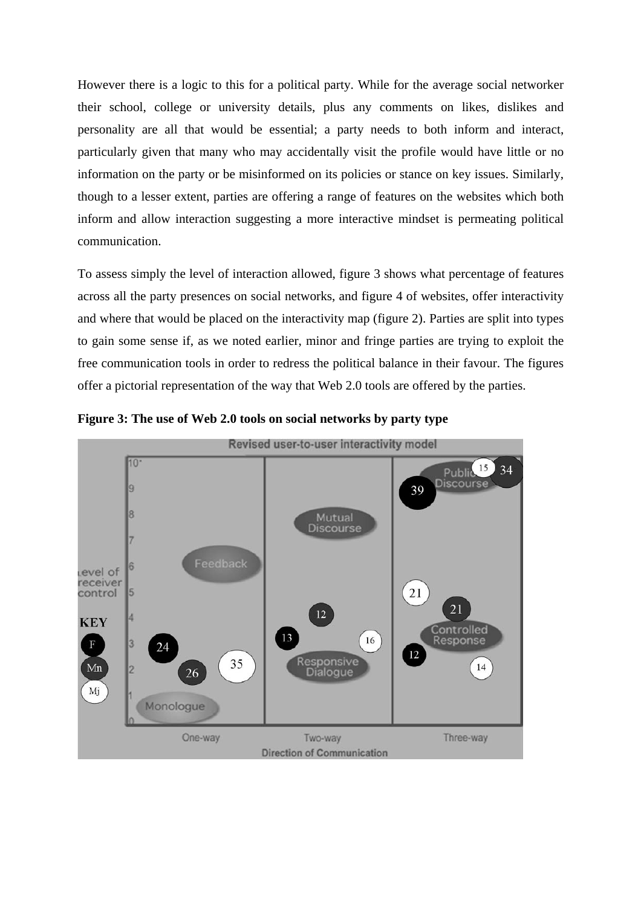However there is a logic to this for a political party. While for the average social networker their school, college or university details, plus any comments on likes, dislikes and personality are all that would be essential; a party needs to both inform and interact, particularly given that many who may accidentally visit the profile would have little or no information on the party or be misinformed on its policies or stance on key issues. Similarly, though to a lesser extent, parties are offering a range of features on the websites which both inform and allow interaction suggesting a more interactive mindset is permeating political communication.

To assess simply the level of interaction allowed, figure 3 shows what percentage of features across all the party presences on social networks, and figure 4 of websites, offer interactivity and where that would be placed on the interactivity map (figure 2). Parties are split into types to gain some sense if, as we noted earlier, minor and fringe parties are trying to exploit the free communication tools in order to redress the political balance in their favour. The figures offer a pictorial representation of the way that Web 2.0 tools are offered by the parties.



**Figure 3: The use of Web 2.0 tools on social networks by party type**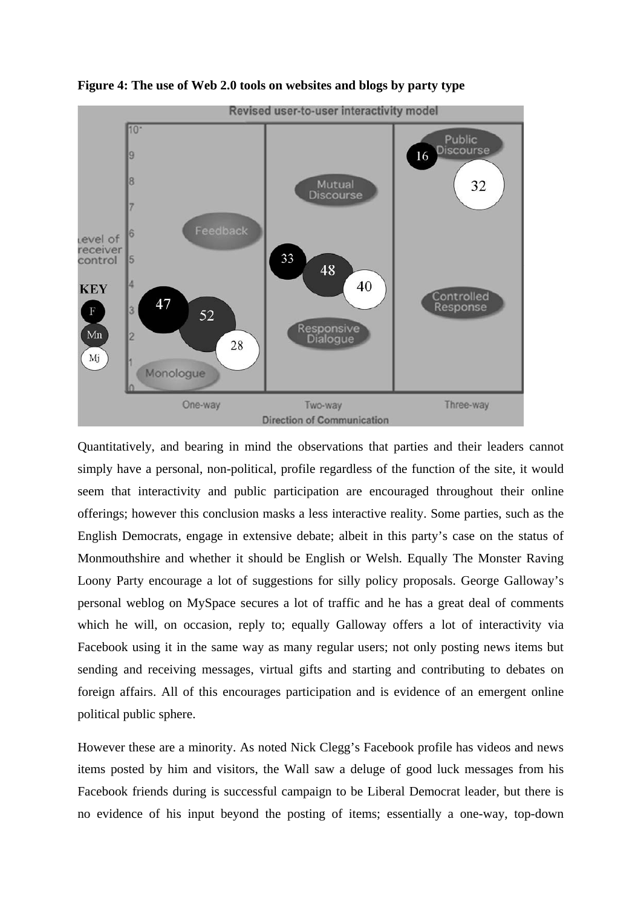

**Figure 4: The use of Web 2.0 tools on websites and blogs by party type**

Quantitatively, and bearing in mind the observations that parties and their leaders cannot simply have a personal, non-political, profile regardless of the function of the site, it would seem that interactivity and public participation are encouraged throughout their online offerings; however this conclusion masks a less interactive reality. Some parties, such as the English Democrats, engage in extensive debate; albeit in this party's case on the status of Monmouthshire and whether it should be English or Welsh. Equally The Monster Raving Loony Party encourage a lot of suggestions for silly policy proposals. George Galloway's personal weblog on MySpace secures a lot of traffic and he has a great deal of comments which he will, on occasion, reply to; equally Galloway offers a lot of interactivity via Facebook using it in the same way as many regular users; not only posting news items but sending and receiving messages, virtual gifts and starting and contributing to debates on foreign affairs. All of this encourages participation and is evidence of an emergent online political public sphere.

However these are a minority. As noted Nick Clegg's Facebook profile has videos and news items posted by him and visitors, the Wall saw a deluge of good luck messages from his Facebook friends during is successful campaign to be Liberal Democrat leader, but there is no evidence of his input beyond the posting of items; essentially a one-way, top-down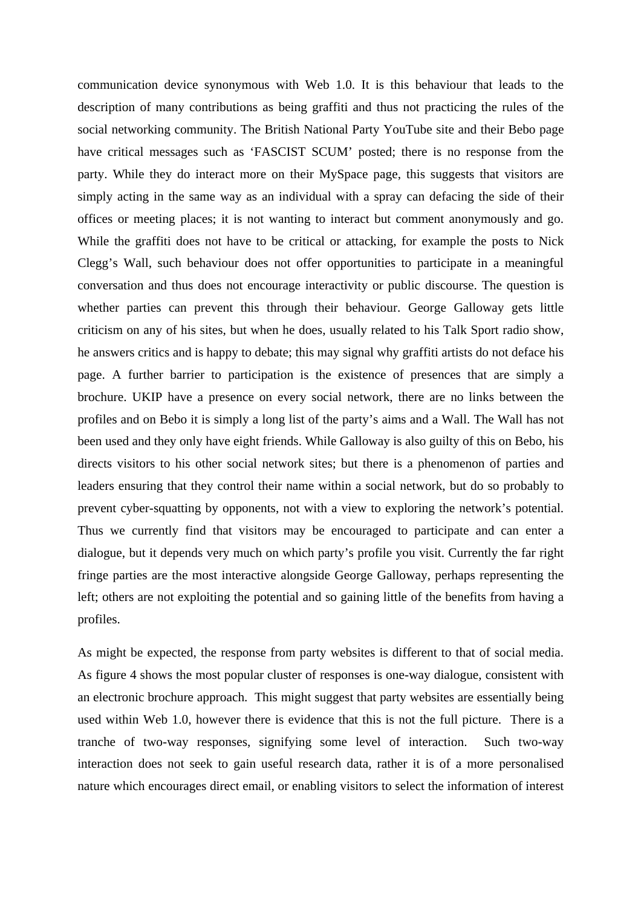communication device synonymous with Web 1.0. It is this behaviour that leads to the description of many contributions as being graffiti and thus not practicing the rules of the social networking community. The British National Party YouTube site and their Bebo page have critical messages such as 'FASCIST SCUM' posted; there is no response from the party. While they do interact more on their MySpace page, this suggests that visitors are simply acting in the same way as an individual with a spray can defacing the side of their offices or meeting places; it is not wanting to interact but comment anonymously and go. While the graffiti does not have to be critical or attacking, for example the posts to Nick Clegg's Wall, such behaviour does not offer opportunities to participate in a meaningful conversation and thus does not encourage interactivity or public discourse. The question is whether parties can prevent this through their behaviour. George Galloway gets little criticism on any of his sites, but when he does, usually related to his Talk Sport radio show, he answers critics and is happy to debate; this may signal why graffiti artists do not deface his page. A further barrier to participation is the existence of presences that are simply a brochure. UKIP have a presence on every social network, there are no links between the profiles and on Bebo it is simply a long list of the party's aims and a Wall. The Wall has not been used and they only have eight friends. While Galloway is also guilty of this on Bebo, his directs visitors to his other social network sites; but there is a phenomenon of parties and leaders ensuring that they control their name within a social network, but do so probably to prevent cyber-squatting by opponents, not with a view to exploring the network's potential. Thus we currently find that visitors may be encouraged to participate and can enter a dialogue, but it depends very much on which party's profile you visit. Currently the far right fringe parties are the most interactive alongside George Galloway, perhaps representing the left; others are not exploiting the potential and so gaining little of the benefits from having a profiles.

As might be expected, the response from party websites is different to that of social media. As figure 4 shows the most popular cluster of responses is one-way dialogue, consistent with an electronic brochure approach. This might suggest that party websites are essentially being used within Web 1.0, however there is evidence that this is not the full picture. There is a tranche of two-way responses, signifying some level of interaction. Such two-way interaction does not seek to gain useful research data, rather it is of a more personalised nature which encourages direct email, or enabling visitors to select the information of interest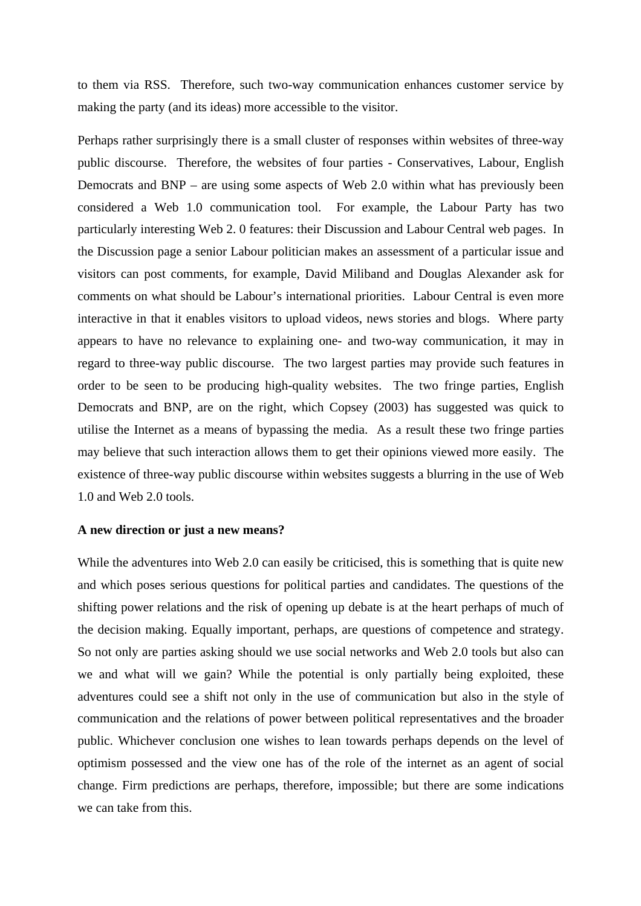to them via RSS. Therefore, such two-way communication enhances customer service by making the party (and its ideas) more accessible to the visitor.

Perhaps rather surprisingly there is a small cluster of responses within websites of three-way public discourse. Therefore, the websites of four parties - Conservatives, Labour, English Democrats and BNP – are using some aspects of Web 2.0 within what has previously been considered a Web 1.0 communication tool. For example, the Labour Party has two particularly interesting Web 2. 0 features: their Discussion and Labour Central web pages. In the Discussion page a senior Labour politician makes an assessment of a particular issue and visitors can post comments, for example, David Miliband and Douglas Alexander ask for comments on what should be Labour's international priorities. Labour Central is even more interactive in that it enables visitors to upload videos, news stories and blogs. Where party appears to have no relevance to explaining one- and two-way communication, it may in regard to three-way public discourse. The two largest parties may provide such features in order to be seen to be producing high-quality websites. The two fringe parties, English Democrats and BNP, are on the right, which Copsey (2003) has suggested was quick to utilise the Internet as a means of bypassing the media. As a result these two fringe parties may believe that such interaction allows them to get their opinions viewed more easily. The existence of three-way public discourse within websites suggests a blurring in the use of Web 1.0 and Web 2.0 tools.

#### **A new direction or just a new means?**

While the adventures into Web 2.0 can easily be criticised, this is something that is quite new and which poses serious questions for political parties and candidates. The questions of the shifting power relations and the risk of opening up debate is at the heart perhaps of much of the decision making. Equally important, perhaps, are questions of competence and strategy. So not only are parties asking should we use social networks and Web 2.0 tools but also can we and what will we gain? While the potential is only partially being exploited, these adventures could see a shift not only in the use of communication but also in the style of communication and the relations of power between political representatives and the broader public. Whichever conclusion one wishes to lean towards perhaps depends on the level of optimism possessed and the view one has of the role of the internet as an agent of social change. Firm predictions are perhaps, therefore, impossible; but there are some indications we can take from this.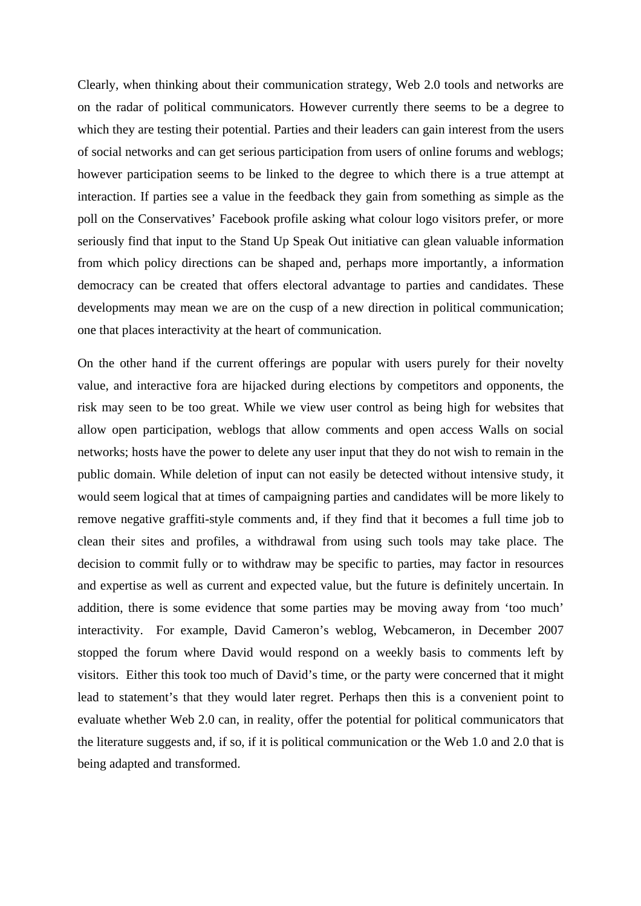Clearly, when thinking about their communication strategy, Web 2.0 tools and networks are on the radar of political communicators. However currently there seems to be a degree to which they are testing their potential. Parties and their leaders can gain interest from the users of social networks and can get serious participation from users of online forums and weblogs; however participation seems to be linked to the degree to which there is a true attempt at interaction. If parties see a value in the feedback they gain from something as simple as the poll on the Conservatives' Facebook profile asking what colour logo visitors prefer, or more seriously find that input to the Stand Up Speak Out initiative can glean valuable information from which policy directions can be shaped and, perhaps more importantly, a information democracy can be created that offers electoral advantage to parties and candidates. These developments may mean we are on the cusp of a new direction in political communication; one that places interactivity at the heart of communication.

On the other hand if the current offerings are popular with users purely for their novelty value, and interactive fora are hijacked during elections by competitors and opponents, the risk may seen to be too great. While we view user control as being high for websites that allow open participation, weblogs that allow comments and open access Walls on social networks; hosts have the power to delete any user input that they do not wish to remain in the public domain. While deletion of input can not easily be detected without intensive study, it would seem logical that at times of campaigning parties and candidates will be more likely to remove negative graffiti-style comments and, if they find that it becomes a full time job to clean their sites and profiles, a withdrawal from using such tools may take place. The decision to commit fully or to withdraw may be specific to parties, may factor in resources and expertise as well as current and expected value, but the future is definitely uncertain. In addition, there is some evidence that some parties may be moving away from 'too much' interactivity. For example, David Cameron's weblog, Webcameron, in December 2007 stopped the forum where David would respond on a weekly basis to comments left by visitors. Either this took too much of David's time, or the party were concerned that it might lead to statement's that they would later regret. Perhaps then this is a convenient point to evaluate whether Web 2.0 can, in reality, offer the potential for political communicators that the literature suggests and, if so, if it is political communication or the Web 1.0 and 2.0 that is being adapted and transformed.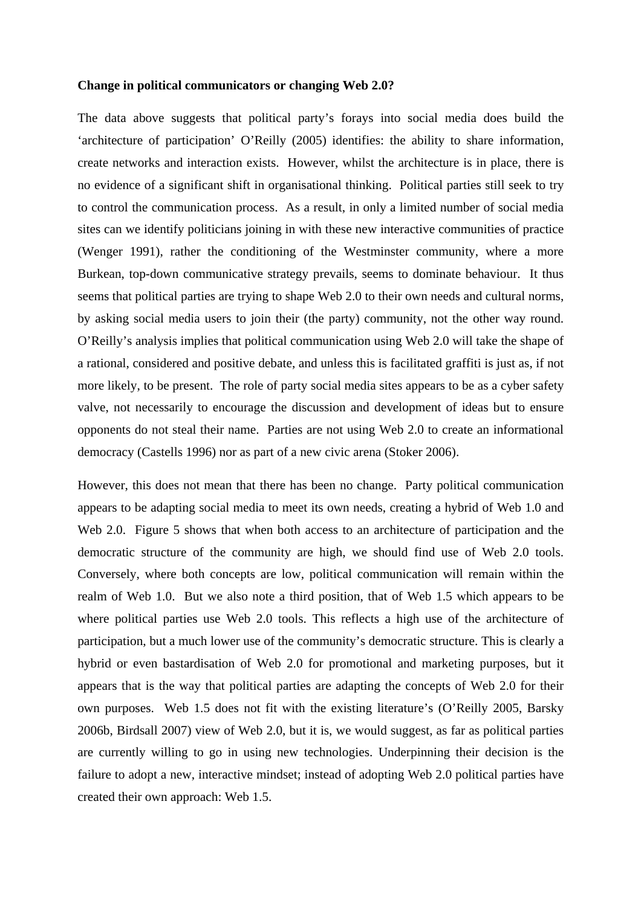#### **Change in political communicators or changing Web 2.0?**

The data above suggests that political party's forays into social media does build the 'architecture of participation' O'Reilly (2005) identifies: the ability to share information, create networks and interaction exists. However, whilst the architecture is in place, there is no evidence of a significant shift in organisational thinking. Political parties still seek to try to control the communication process. As a result, in only a limited number of social media sites can we identify politicians joining in with these new interactive communities of practice (Wenger 1991), rather the conditioning of the Westminster community, where a more Burkean, top-down communicative strategy prevails, seems to dominate behaviour. It thus seems that political parties are trying to shape Web 2.0 to their own needs and cultural norms, by asking social media users to join their (the party) community, not the other way round. O'Reilly's analysis implies that political communication using Web 2.0 will take the shape of a rational, considered and positive debate, and unless this is facilitated graffiti is just as, if not more likely, to be present. The role of party social media sites appears to be as a cyber safety valve, not necessarily to encourage the discussion and development of ideas but to ensure opponents do not steal their name. Parties are not using Web 2.0 to create an informational democracy (Castells 1996) nor as part of a new civic arena (Stoker 2006).

However, this does not mean that there has been no change. Party political communication appears to be adapting social media to meet its own needs, creating a hybrid of Web 1.0 and Web 2.0. Figure 5 shows that when both access to an architecture of participation and the democratic structure of the community are high, we should find use of Web 2.0 tools. Conversely, where both concepts are low, political communication will remain within the realm of Web 1.0. But we also note a third position, that of Web 1.5 which appears to be where political parties use Web 2.0 tools. This reflects a high use of the architecture of participation, but a much lower use of the community's democratic structure. This is clearly a hybrid or even bastardisation of Web 2.0 for promotional and marketing purposes, but it appears that is the way that political parties are adapting the concepts of Web 2.0 for their own purposes. Web 1.5 does not fit with the existing literature's (O'Reilly 2005, Barsky 2006b, Birdsall 2007) view of Web 2.0, but it is, we would suggest, as far as political parties are currently willing to go in using new technologies. Underpinning their decision is the failure to adopt a new, interactive mindset; instead of adopting Web 2.0 political parties have created their own approach: Web 1.5.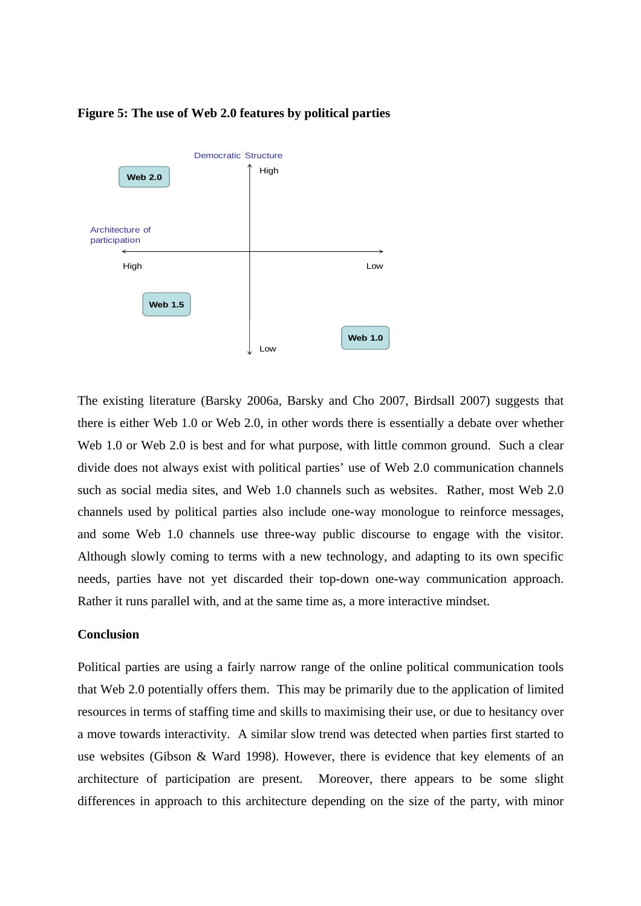

### **Figure 5: The use of Web 2.0 features by political parties**

The existing literature (Barsky 2006a, Barsky and Cho 2007, Birdsall 2007) suggests that there is either Web 1.0 or Web 2.0, in other words there is essentially a debate over whether Web 1.0 or Web 2.0 is best and for what purpose, with little common ground. Such a clear divide does not always exist with political parties' use of Web 2.0 communication channels such as social media sites, and Web 1.0 channels such as websites. Rather, most Web 2.0 channels used by political parties also include one-way monologue to reinforce messages, and some Web 1.0 channels use three-way public discourse to engage with the visitor. Although slowly coming to terms with a new technology, and adapting to its own specific needs, parties have not yet discarded their top-down one-way communication approach. Rather it runs parallel with, and at the same time as, a more interactive mindset.

#### **Conclusion**

Political parties are using a fairly narrow range of the online political communication tools that Web 2.0 potentially offers them. This may be primarily due to the application of limited resources in terms of staffing time and skills to maximising their use, or due to hesitancy over a move towards interactivity. A similar slow trend was detected when parties first started to use websites (Gibson & Ward 1998). However, there is evidence that key elements of an architecture of participation are present. Moreover, there appears to be some slight differences in approach to this architecture depending on the size of the party, with minor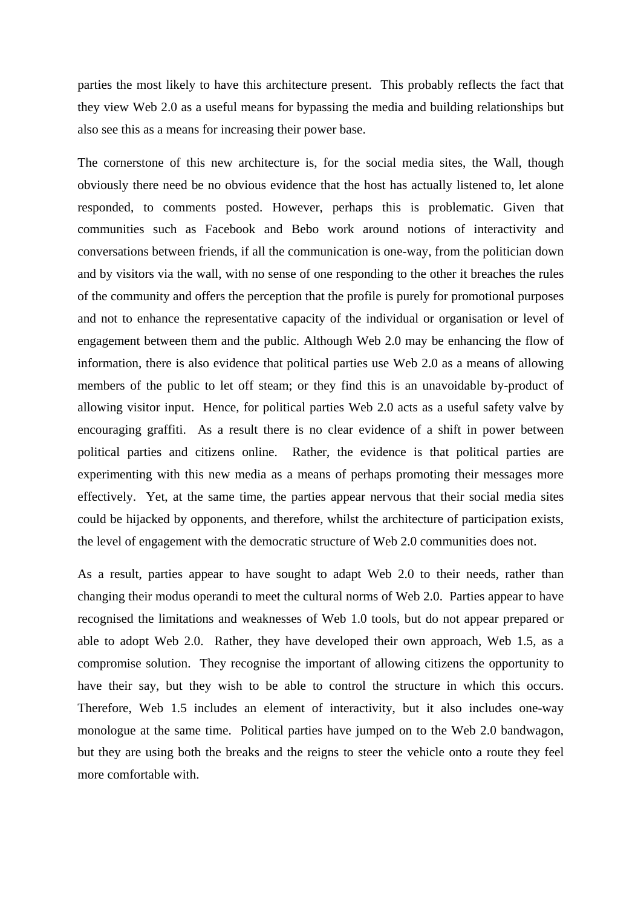parties the most likely to have this architecture present. This probably reflects the fact that they view Web 2.0 as a useful means for bypassing the media and building relationships but also see this as a means for increasing their power base.

The cornerstone of this new architecture is, for the social media sites, the Wall, though obviously there need be no obvious evidence that the host has actually listened to, let alone responded, to comments posted. However, perhaps this is problematic. Given that communities such as Facebook and Bebo work around notions of interactivity and conversations between friends, if all the communication is one-way, from the politician down and by visitors via the wall, with no sense of one responding to the other it breaches the rules of the community and offers the perception that the profile is purely for promotional purposes and not to enhance the representative capacity of the individual or organisation or level of engagement between them and the public. Although Web 2.0 may be enhancing the flow of information, there is also evidence that political parties use Web 2.0 as a means of allowing members of the public to let off steam; or they find this is an unavoidable by-product of allowing visitor input. Hence, for political parties Web 2.0 acts as a useful safety valve by encouraging graffiti. As a result there is no clear evidence of a shift in power between political parties and citizens online. Rather, the evidence is that political parties are experimenting with this new media as a means of perhaps promoting their messages more effectively. Yet, at the same time, the parties appear nervous that their social media sites could be hijacked by opponents, and therefore, whilst the architecture of participation exists, the level of engagement with the democratic structure of Web 2.0 communities does not.

As a result, parties appear to have sought to adapt Web 2.0 to their needs, rather than changing their modus operandi to meet the cultural norms of Web 2.0. Parties appear to have recognised the limitations and weaknesses of Web 1.0 tools, but do not appear prepared or able to adopt Web 2.0. Rather, they have developed their own approach, Web 1.5, as a compromise solution. They recognise the important of allowing citizens the opportunity to have their say, but they wish to be able to control the structure in which this occurs. Therefore, Web 1.5 includes an element of interactivity, but it also includes one-way monologue at the same time. Political parties have jumped on to the Web 2.0 bandwagon, but they are using both the breaks and the reigns to steer the vehicle onto a route they feel more comfortable with.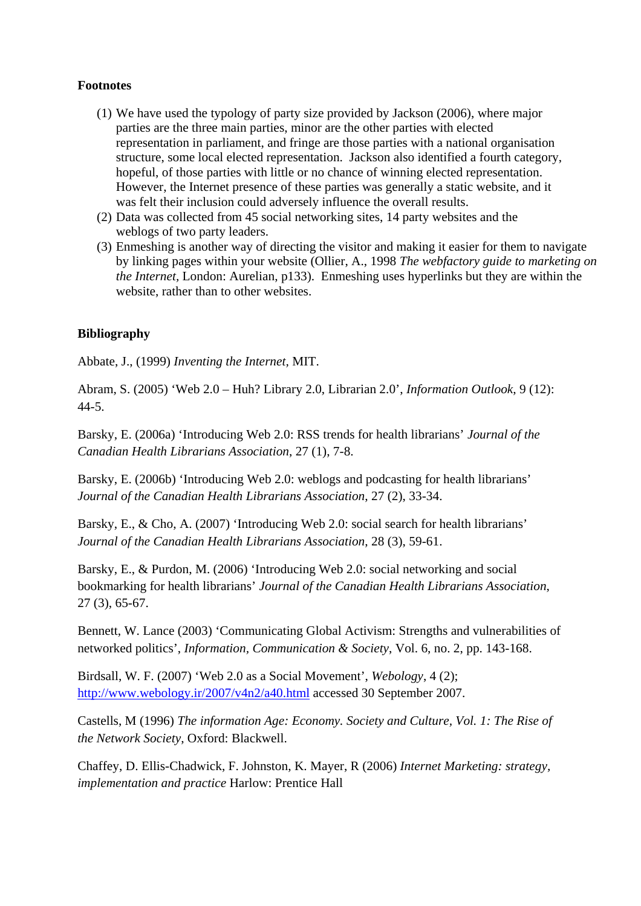# **Footnotes**

- (1) We have used the typology of party size provided by Jackson (2006), where major parties are the three main parties, minor are the other parties with elected representation in parliament, and fringe are those parties with a national organisation structure, some local elected representation. Jackson also identified a fourth category, hopeful, of those parties with little or no chance of winning elected representation. However, the Internet presence of these parties was generally a static website, and it was felt their inclusion could adversely influence the overall results.
- (2) Data was collected from 45 social networking sites, 14 party websites and the weblogs of two party leaders.
- (3) Enmeshing is another way of directing the visitor and making it easier for them to navigate by linking pages within your website (Ollier, A., 1998 *The webfactory guide to marketing on the Internet,* London: Aurelian, p133). Enmeshing uses hyperlinks but they are within the website, rather than to other websites.

## **Bibliography**

Abbate, J., (1999) *Inventing the Internet,* MIT.

Abram, S. (2005) 'Web 2.0 – Huh? Library 2.0, Librarian 2.0', *Information Outlook*, 9 (12): 44-5.

Barsky, E. (2006a) 'Introducing Web 2.0: RSS trends for health librarians' *Journal of the Canadian Health Librarians Association*, 27 (1), 7-8.

Barsky, E. (2006b) 'Introducing Web 2.0: weblogs and podcasting for health librarians' *Journal of the Canadian Health Librarians Association*, 27 (2), 33-34.

Barsky, E., & Cho, A. (2007) 'Introducing Web 2.0: social search for health librarians' *Journal of the Canadian Health Librarians Association*, 28 (3), 59-61.

Barsky, E., & Purdon, M. (2006) 'Introducing Web 2.0: social networking and social bookmarking for health librarians' *Journal of the Canadian Health Librarians Association*, 27 (3), 65-67.

Bennett, W. Lance (2003) 'Communicating Global Activism: Strengths and vulnerabilities of networked politics', *Information, Communication & Society*, Vol. 6, no. 2, pp. 143-168.

Birdsall, W. F. (2007) 'Web 2.0 as a Social Movement', *Webology*, 4 (2); <http://www.webology.ir/2007/v4n2/a40.html>accessed 30 September 2007.

Castells, M (1996) *The information Age: Economy. Society and Culture, Vol. 1: The Rise of the Network Society*, Oxford: Blackwell.

Chaffey, D. Ellis-Chadwick, F. Johnston, K. Mayer, R (2006) *Internet Marketing: strategy, implementation and practice* Harlow: Prentice Hall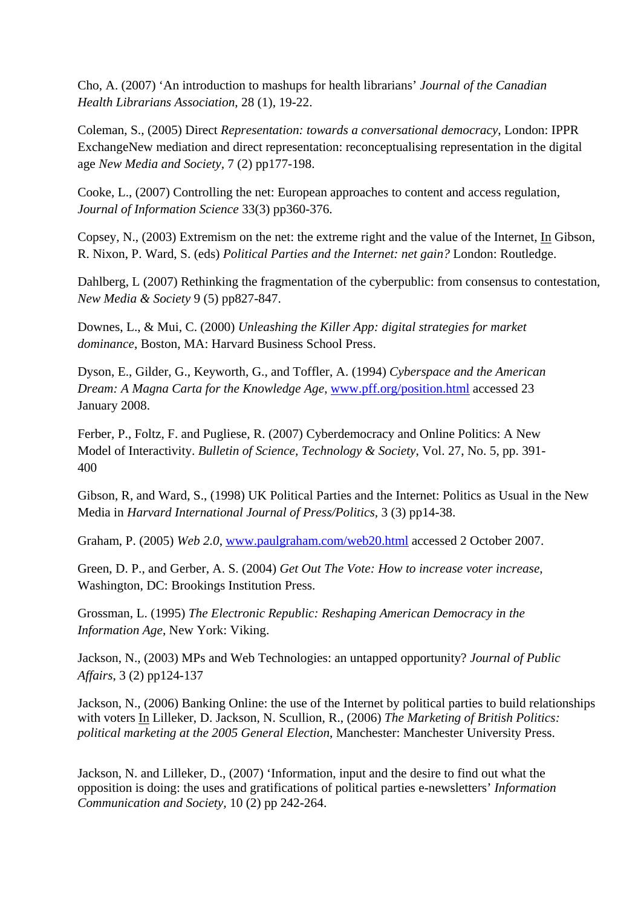Cho, A. (2007) 'An introduction to mashups for health librarians' *Journal of the Canadian Health Librarians Association*, 28 (1), 19-22.

Coleman, S., (2005) Direct *Representation: towards a conversational democracy*, London: IPPR ExchangeNew mediation and direct representation: reconceptualising representation in the digital age *New Media and Society,* 7 (2) pp177-198.

Cooke, L., (2007) Controlling the net: European approaches to content and access regulation, *Journal of Information Science* 33(3) pp360-376.

Copsey, N., (2003) Extremism on the net: the extreme right and the value of the Internet, In Gibson, R. Nixon, P. Ward, S. (eds) *Political Parties and the Internet: net gain?* London: Routledge.

Dahlberg, L (2007) Rethinking the fragmentation of the cyberpublic: from consensus to contestation, *New Media & Society* 9 (5) pp827-847.

Downes, L., & Mui, C. (2000) *Unleashing the Killer App: digital strategies for market dominance*, Boston, MA: Harvard Business School Press.

Dyson, E., Gilder, G., Keyworth, G., and Toffler, A. (1994) *Cyberspace and the American Dream: A Magna Carta for the Knowledge Age*, [www.pff.org/position.html](http://www.pff.org/position.html) accessed 23 January 2008.

Ferber, P., Foltz, F. and Pugliese, R. (2007) Cyberdemocracy and Online Politics: A New Model of Interactivity. *Bulletin of Science, Technology & Society*, Vol. 27, No. 5, pp. 391- 400

Gibson, R, and Ward, S., (1998) UK Political Parties and the Internet: Politics as Usual in the New Media in *Harvard International Journal of Press/Politics,* 3 (3) pp14-38.

Graham, P. (2005) *Web 2.0*, [www.paulgraham.com/web20.html](http://www.paulgraham.com/web20.html) accessed 2 October 2007.

Green, D. P., and Gerber, A. S. (2004) *Get Out The Vote: How to increase voter increase*, Washington, DC: Brookings Institution Press.

Grossman, L. (1995) *The Electronic Republic: Reshaping American Democracy in the Information Age*, New York: Viking.

Jackson, N., (2003) MPs and Web Technologies: an untapped opportunity? *Journal of Public Affairs*, 3 (2) pp124-137

Jackson, N., (2006) Banking Online: the use of the Internet by political parties to build relationships with voters In Lilleker, D. Jackson, N. Scullion, R., (2006) *The Marketing of British Politics: political marketing at the 2005 General Election*, Manchester: Manchester University Press.

Jackson, N. and Lilleker, D., (2007) 'Information, input and the desire to find out what the opposition is doing: the uses and gratifications of political parties e-newsletters' *Information Communication and Society,* 10 (2) pp 242-264.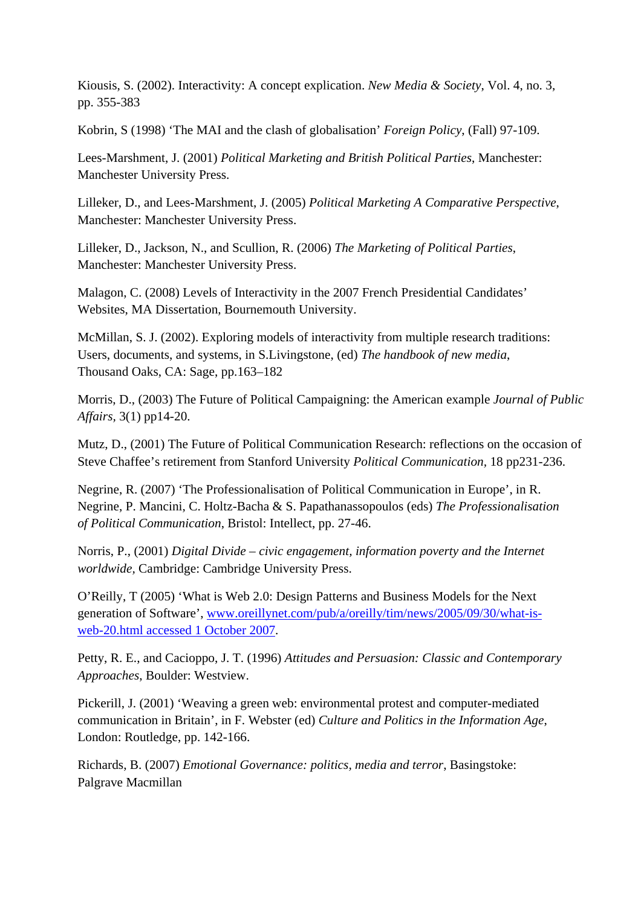Kiousis, S. (2002). Interactivity: A concept explication. *New Media & Society*, Vol. 4, no. 3, pp. 355-383

Kobrin, S (1998) 'The MAI and the clash of globalisation' *Foreign Policy*, (Fall) 97-109.

Lees-Marshment, J. (2001) *Political Marketing and British Political Parties*, Manchester: Manchester University Press.

Lilleker, D., and Lees-Marshment, J. (2005) *Political Marketing A Comparative Perspective*, Manchester: Manchester University Press.

Lilleker, D., Jackson, N., and Scullion, R. (2006) *The Marketing of Political Parties*, Manchester: Manchester University Press.

Malagon, C. (2008) Levels of Interactivity in the 2007 French Presidential Candidates' Websites, MA Dissertation, Bournemouth University.

McMillan, S. J. (2002). Exploring models of interactivity from multiple research traditions: Users, documents, and systems, in S.Livingstone, (ed) *The handbook of new media*, Thousand Oaks, CA: Sage, pp.163–182

Morris, D., (2003) The Future of Political Campaigning: the American example *Journal of Public Affairs,* 3(1) pp14-20.

Mutz, D., (2001) The Future of Political Communication Research: reflections on the occasion of Steve Chaffee's retirement from Stanford University *Political Communication,* 18 pp231-236.

Negrine, R. (2007) 'The Professionalisation of Political Communication in Europe', in R. Negrine, P. Mancini, C. Holtz-Bacha & S. Papathanassopoulos (eds) *The Professionalisation of Political Communication*, Bristol: Intellect, pp. 27-46.

Norris, P., (2001) *Digital Divide – civic engagement, information poverty and the Internet worldwide,* Cambridge: Cambridge University Press.

O'Reilly, T (2005) 'What is Web 2.0: Design Patterns and Business Models for the Next generation of Software', [www.oreillynet.com/pub/a/oreilly/tim/news/2005/09/30/what-is](http://www.oreillynet.com/pub/a/oreilly/tim/news/2005/09/30/what-is-web-20.html accessed 1 October 2007)[web-20.html accessed 1 October 2007.](http://www.oreillynet.com/pub/a/oreilly/tim/news/2005/09/30/what-is-web-20.html accessed 1 October 2007)

Petty, R. E., and Cacioppo, J. T. (1996) *Attitudes and Persuasion: Classic and Contemporary Approaches*, Boulder: Westview.

Pickerill, J. (2001) 'Weaving a green web: environmental protest and computer-mediated communication in Britain', in F. Webster (ed) *Culture and Politics in the Information Age*, London: Routledge, pp. 142-166.

Richards, B. (2007) *Emotional Governance: politics, media and terror*, Basingstoke: Palgrave Macmillan